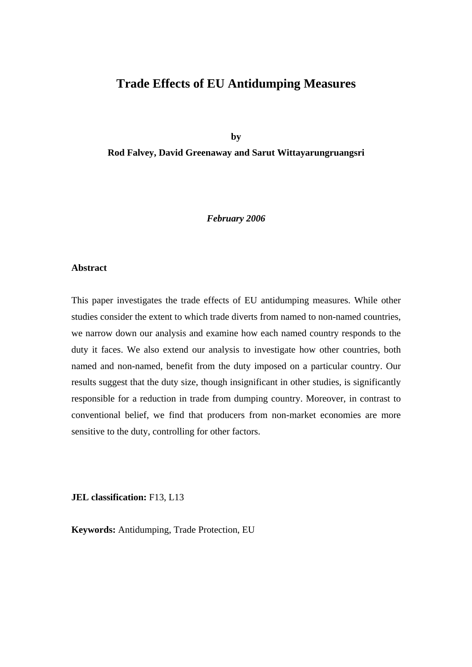# **Trade Effects of EU Antidumping Measures**

**by** 

**Rod Falvey, David Greenaway and Sarut Wittayarungruangsri** 

#### *February 2006*

# **Abstract**

This paper investigates the trade effects of EU antidumping measures. While other studies consider the extent to which trade diverts from named to non-named countries, we narrow down our analysis and examine how each named country responds to the duty it faces. We also extend our analysis to investigate how other countries, both named and non-named, benefit from the duty imposed on a particular country. Our results suggest that the duty size, though insignificant in other studies, is significantly responsible for a reduction in trade from dumping country. Moreover, in contrast to conventional belief, we find that producers from non-market economies are more sensitive to the duty, controlling for other factors.

**JEL classification:** F13, L13

**Keywords:** Antidumping, Trade Protection, EU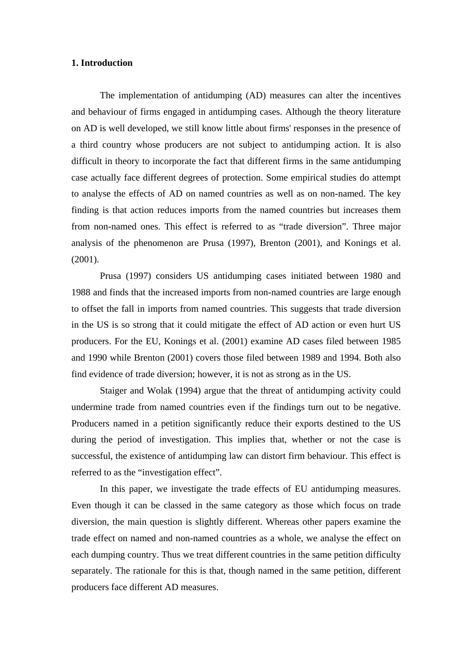# **1. Introduction**

 The implementation of antidumping (AD) measures can alter the incentives and behaviour of firms engaged in antidumping cases. Although the theory literature on AD is well developed, we still know little about firms' responses in the presence of a third country whose producers are not subject to antidumping action. It is also difficult in theory to incorporate the fact that different firms in the same antidumping case actually face different degrees of protection. Some empirical studies do attempt to analyse the effects of AD on named countries as well as on non-named. The key finding is that action reduces imports from the named countries but increases them from non-named ones. This effect is referred to as "trade diversion". Three major analysis of the phenomenon are Prusa (1997), Brenton (2001), and Konings et al. (2001).

 Prusa (1997) considers US antidumping cases initiated between 1980 and 1988 and finds that the increased imports from non-named countries are large enough to offset the fall in imports from named countries. This suggests that trade diversion in the US is so strong that it could mitigate the effect of AD action or even hurt US producers. For the EU, Konings et al. (2001) examine AD cases filed between 1985 and 1990 while Brenton (2001) covers those filed between 1989 and 1994. Both also find evidence of trade diversion; however, it is not as strong as in the US.

 Staiger and Wolak (1994) argue that the threat of antidumping activity could undermine trade from named countries even if the findings turn out to be negative. Producers named in a petition significantly reduce their exports destined to the US during the period of investigation. This implies that, whether or not the case is successful, the existence of antidumping law can distort firm behaviour. This effect is referred to as the "investigation effect".

 In this paper, we investigate the trade effects of EU antidumping measures. Even though it can be classed in the same category as those which focus on trade diversion, the main question is slightly different. Whereas other papers examine the trade effect on named and non-named countries as a whole, we analyse the effect on each dumping country. Thus we treat different countries in the same petition difficulty separately. The rationale for this is that, though named in the same petition, different producers face different AD measures.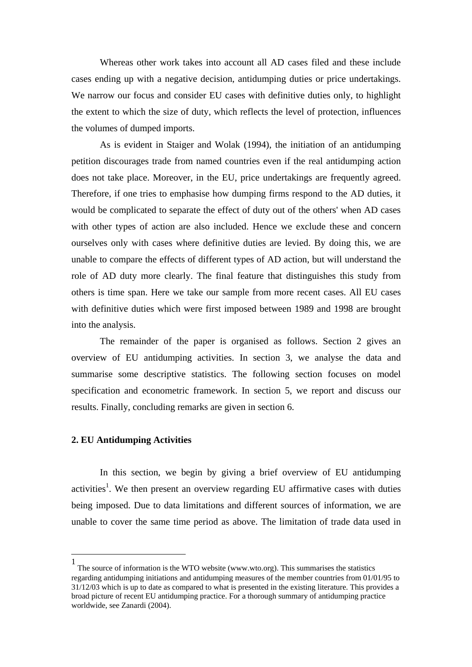Whereas other work takes into account all AD cases filed and these include cases ending up with a negative decision, antidumping duties or price undertakings. We narrow our focus and consider EU cases with definitive duties only, to highlight the extent to which the size of duty, which reflects the level of protection, influences the volumes of dumped imports.

 As is evident in Staiger and Wolak (1994), the initiation of an antidumping petition discourages trade from named countries even if the real antidumping action does not take place. Moreover, in the EU, price undertakings are frequently agreed. Therefore, if one tries to emphasise how dumping firms respond to the AD duties, it would be complicated to separate the effect of duty out of the others' when AD cases with other types of action are also included. Hence we exclude these and concern ourselves only with cases where definitive duties are levied. By doing this, we are unable to compare the effects of different types of AD action, but will understand the role of AD duty more clearly. The final feature that distinguishes this study from others is time span. Here we take our sample from more recent cases. All EU cases with definitive duties which were first imposed between 1989 and 1998 are brought into the analysis.

 The remainder of the paper is organised as follows. Section 2 gives an overview of EU antidumping activities. In section 3, we analyse the data and summarise some descriptive statistics. The following section focuses on model specification and econometric framework. In section 5, we report and discuss our results. Finally, concluding remarks are given in section 6.

#### **2. EU Antidumping Activities**

 $\overline{a}$ 

 In this section, we begin by giving a brief overview of EU antidumping activities<sup>1</sup>. We then present an overview regarding EU affirmative cases with duties being imposed. Due to data limitations and different sources of information, we are unable to cover the same time period as above. The limitation of trade data used in

<sup>1</sup> The source of information is the WTO website (www.wto.org). This summarises the statistics regarding antidumping initiations and antidumping measures of the member countries from 01/01/95 to 31/12/03 which is up to date as compared to what is presented in the existing literature. This provides a broad picture of recent EU antidumping practice. For a thorough summary of antidumping practice worldwide, see Zanardi (2004).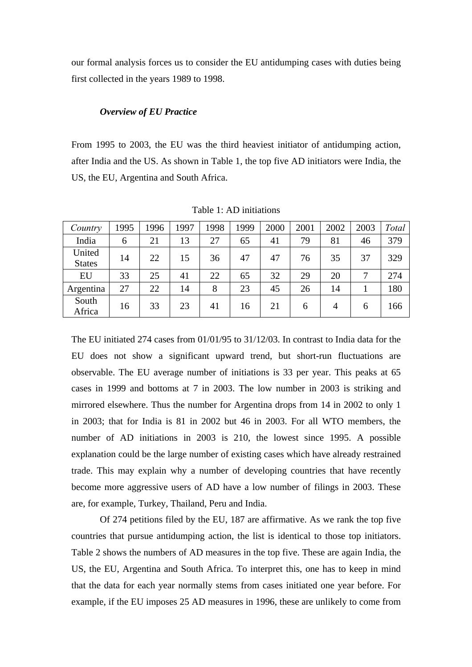our formal analysis forces us to consider the EU antidumping cases with duties being first collected in the years 1989 to 1998.

#### *Overview of EU Practice*

From 1995 to 2003, the EU was the third heaviest initiator of antidumping action, after India and the US. As shown in Table 1, the top five AD initiators were India, the US, the EU, Argentina and South Africa.

| Country                 | 1995 | 1996 | 1997 | 1998 | 1999 | 2000 | 2001 | 2002 | 2003 | Total |
|-------------------------|------|------|------|------|------|------|------|------|------|-------|
| India                   | 6    | 21   | 13   | 27   | 65   | 41   | 79   | 81   | 46   | 379   |
| United<br><b>States</b> | 14   | 22   | 15   | 36   | 47   | 47   | 76   | 35   | 37   | 329   |
| EU                      | 33   | 25   | 41   | 22   | 65   | 32   | 29   | 20   | 7    | 274   |
| Argentina               | 27   | 22   | 14   | 8    | 23   | 45   | 26   | 14   |      | 180   |
| South<br>Africa         | 16   | 33   | 23   | 41   | 16   | 21   | 6    | 4    | 6    | 166   |

Table 1: AD initiations

The EU initiated 274 cases from 01/01/95 to 31/12/03. In contrast to India data for the EU does not show a significant upward trend, but short-run fluctuations are observable. The EU average number of initiations is 33 per year. This peaks at 65 cases in 1999 and bottoms at 7 in 2003. The low number in 2003 is striking and mirrored elsewhere. Thus the number for Argentina drops from 14 in 2002 to only 1 in 2003; that for India is 81 in 2002 but 46 in 2003. For all WTO members, the number of AD initiations in 2003 is 210, the lowest since 1995. A possible explanation could be the large number of existing cases which have already restrained trade. This may explain why a number of developing countries that have recently become more aggressive users of AD have a low number of filings in 2003. These are, for example, Turkey, Thailand, Peru and India.

 Of 274 petitions filed by the EU, 187 are affirmative. As we rank the top five countries that pursue antidumping action, the list is identical to those top initiators. Table 2 shows the numbers of AD measures in the top five. These are again India, the US, the EU, Argentina and South Africa. To interpret this, one has to keep in mind that the data for each year normally stems from cases initiated one year before. For example, if the EU imposes 25 AD measures in 1996, these are unlikely to come from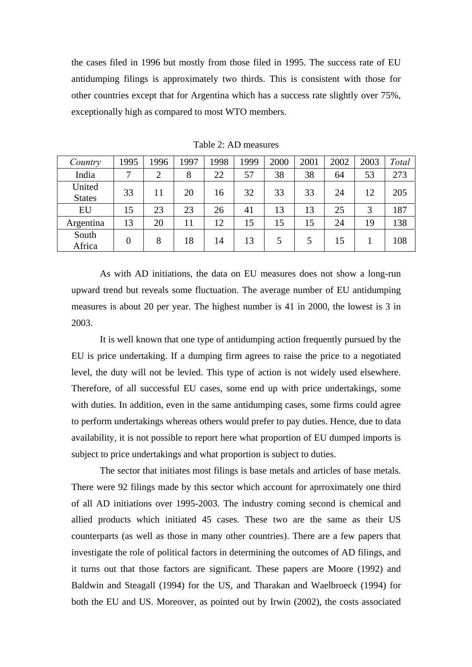the cases filed in 1996 but mostly from those filed in 1995. The success rate of EU antidumping filings is approximately two thirds. This is consistent with those for other countries except that for Argentina which has a success rate slightly over 75%, exceptionally high as compared to most WTO members.

| Country                 | 1995     | 1996 | 1997 | 1998 | 1999 | 2000 | 2001 | 2002 | 2003 | Total |
|-------------------------|----------|------|------|------|------|------|------|------|------|-------|
| India                   | 7        | 2    | 8    | 22   | 57   | 38   | 38   | 64   | 53   | 273   |
| United<br><b>States</b> | 33       | 11   | 20   | 16   | 32   | 33   | 33   | 24   | 12   | 205   |
| EU                      | 15       | 23   | 23   | 26   | 41   | 13   | 13   | 25   | 3    | 187   |
| Argentina               | 13       | 20   | 11   | 12   | 15   | 15   | 15   | 24   | 19   | 138   |
| South<br>Africa         | $\Omega$ | 8    | 18   | 14   | 13   | 5    |      | 15   |      | 108   |

Table 2: AD measures

 As with AD initiations, the data on EU measures does not show a long-run upward trend but reveals some fluctuation. The average number of EU antidumping measures is about 20 per year. The highest number is 41 in 2000, the lowest is 3 in 2003.

 It is well known that one type of antidumping action frequently pursued by the EU is price undertaking. If a dumping firm agrees to raise the price to a negotiated level, the duty will not be levied. This type of action is not widely used elsewhere. Therefore, of all successful EU cases, some end up with price undertakings, some with duties. In addition, even in the same antidumping cases, some firms could agree to perform undertakings whereas others would prefer to pay duties. Hence, due to data availability, it is not possible to report here what proportion of EU dumped imports is subject to price undertakings and what proportion is subject to duties.

 The sector that initiates most filings is base metals and articles of base metals. There were 92 filings made by this sector which account for aprroximately one third of all AD initiations over 1995-2003. The industry coming second is chemical and allied products which initiated 45 cases. These two are the same as their US counterparts (as well as those in many other countries). There are a few papers that investigate the role of political factors in determining the outcomes of AD filings, and it turns out that those factors are significant. These papers are Moore (1992) and Baldwin and Steagall (1994) for the US, and Tharakan and Waelbroeck (1994) for both the EU and US. Moreover, as pointed out by Irwin (2002), the costs associated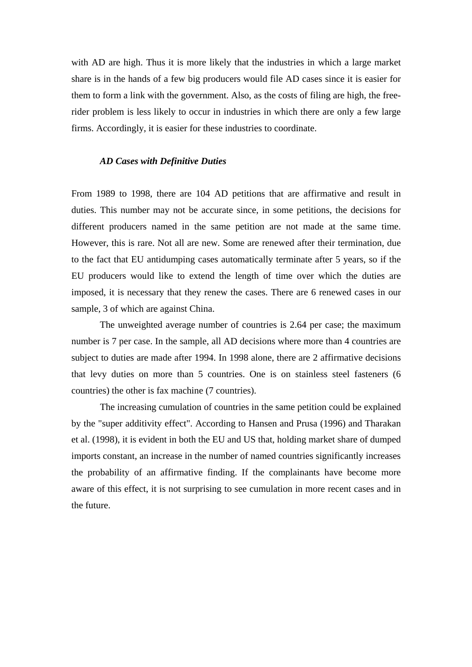with AD are high. Thus it is more likely that the industries in which a large market share is in the hands of a few big producers would file AD cases since it is easier for them to form a link with the government. Also, as the costs of filing are high, the freerider problem is less likely to occur in industries in which there are only a few large firms. Accordingly, it is easier for these industries to coordinate.

# *AD Cases with Definitive Duties*

From 1989 to 1998, there are 104 AD petitions that are affirmative and result in duties. This number may not be accurate since, in some petitions, the decisions for different producers named in the same petition are not made at the same time. However, this is rare. Not all are new. Some are renewed after their termination, due to the fact that EU antidumping cases automatically terminate after 5 years, so if the EU producers would like to extend the length of time over which the duties are imposed, it is necessary that they renew the cases. There are 6 renewed cases in our sample, 3 of which are against China.

 The unweighted average number of countries is 2.64 per case; the maximum number is 7 per case. In the sample, all AD decisions where more than 4 countries are subject to duties are made after 1994. In 1998 alone, there are 2 affirmative decisions that levy duties on more than 5 countries. One is on stainless steel fasteners (6 countries) the other is fax machine (7 countries).

 The increasing cumulation of countries in the same petition could be explained by the "super additivity effect". According to Hansen and Prusa (1996) and Tharakan et al. (1998), it is evident in both the EU and US that, holding market share of dumped imports constant, an increase in the number of named countries significantly increases the probability of an affirmative finding. If the complainants have become more aware of this effect, it is not surprising to see cumulation in more recent cases and in the future.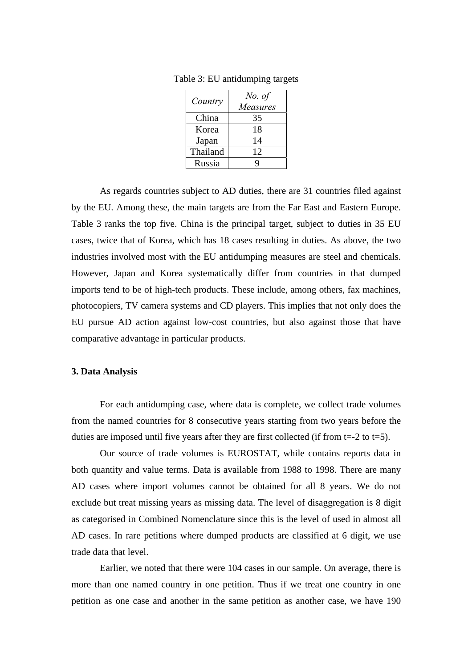| Country  | No. of<br>Measures |
|----------|--------------------|
| China    | 35                 |
| Korea    | 18                 |
| Japan    | 14                 |
| Thailand | 12                 |
| Russia   |                    |

Table 3: EU antidumping targets

 As regards countries subject to AD duties, there are 31 countries filed against by the EU. Among these, the main targets are from the Far East and Eastern Europe. Table 3 ranks the top five. China is the principal target, subject to duties in 35 EU cases, twice that of Korea, which has 18 cases resulting in duties. As above, the two industries involved most with the EU antidumping measures are steel and chemicals. However, Japan and Korea systematically differ from countries in that dumped imports tend to be of high-tech products. These include, among others, fax machines, photocopiers, TV camera systems and CD players. This implies that not only does the EU pursue AD action against low-cost countries, but also against those that have comparative advantage in particular products.

#### **3. Data Analysis**

 For each antidumping case, where data is complete, we collect trade volumes from the named countries for 8 consecutive years starting from two years before the duties are imposed until five years after they are first collected (if from  $t=2$  to  $t=5$ ).

 Our source of trade volumes is EUROSTAT, while contains reports data in both quantity and value terms. Data is available from 1988 to 1998. There are many AD cases where import volumes cannot be obtained for all 8 years. We do not exclude but treat missing years as missing data. The level of disaggregation is 8 digit as categorised in Combined Nomenclature since this is the level of used in almost all AD cases. In rare petitions where dumped products are classified at 6 digit, we use trade data that level.

 Earlier, we noted that there were 104 cases in our sample. On average, there is more than one named country in one petition. Thus if we treat one country in one petition as one case and another in the same petition as another case, we have 190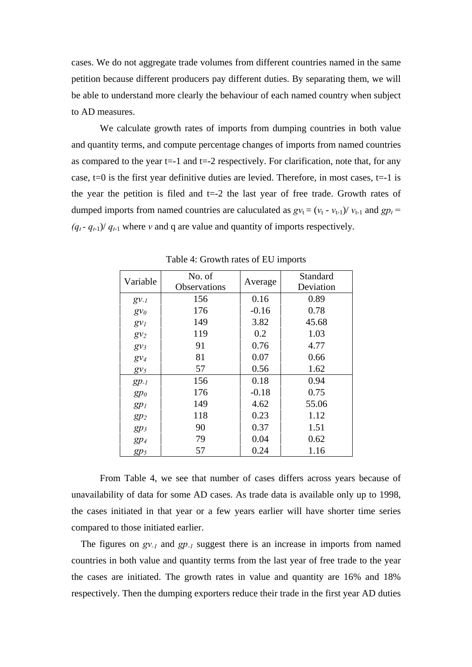cases. We do not aggregate trade volumes from different countries named in the same petition because different producers pay different duties. By separating them, we will be able to understand more clearly the behaviour of each named country when subject to AD measures.

 We calculate growth rates of imports from dumping countries in both value and quantity terms, and compute percentage changes of imports from named countries as compared to the year  $t=-1$  and  $t=-2$  respectively. For clarification, note that, for any case,  $t=0$  is the first year definitive duties are levied. Therefore, in most cases,  $t=-1$  is the year the petition is filed and  $t=2$  the last year of free trade. Growth rates of dumped imports from named countries are caluculated as  $gv_t = (v_t - v_{t-1})/v_{t-1}$  and  $gp_t =$  $(q_t - q_{t-1})/q_{t-1}$  where *v* and q are value and quantity of imports respectively.

|           | No. of<br>Variable |         | <b>Standard</b> |
|-----------|--------------------|---------|-----------------|
|           | Observations       | Average | Deviation       |
| $g_{V-I}$ | 156                | 0.16    | 0.89            |
| $g v_0$   | 176                | $-0.16$ | 0.78            |
| $g v_l$   | 149                | 3.82    | 45.68           |
| $g v_2$   | 119                | 0.2     | 1.03            |
| $g v_3$   | 91                 | 0.76    | 4.77            |
| $g_{V_4}$ | 81                 | 0.07    | 0.66            |
| $g v_5$   | 57                 | 0.56    | 1.62            |
| $gp_{-l}$ | 156                | 0.18    | 0.94            |
| $gp_0$    | 176                | $-0.18$ | 0.75            |
| $gp_1$    | 149                | 4.62    | 55.06           |
| $gp_2$    | 118                | 0.23    | 1.12            |
| $gp_3$    | 90                 | 0.37    | 1.51            |
| $gp_4$    | 79                 | 0.04    | 0.62            |
| gp5       | 57                 | 0.24    | 1.16            |

Table 4: Growth rates of EU imports

 From Table 4, we see that number of cases differs across years because of unavailability of data for some AD cases. As trade data is available only up to 1998, the cases initiated in that year or a few years earlier will have shorter time series compared to those initiated earlier.

The figures on *gv<sub>-1</sub>* and *gp<sub>-1</sub>* suggest there is an increase in imports from named countries in both value and quantity terms from the last year of free trade to the year the cases are initiated. The growth rates in value and quantity are 16% and 18% respectively. Then the dumping exporters reduce their trade in the first year AD duties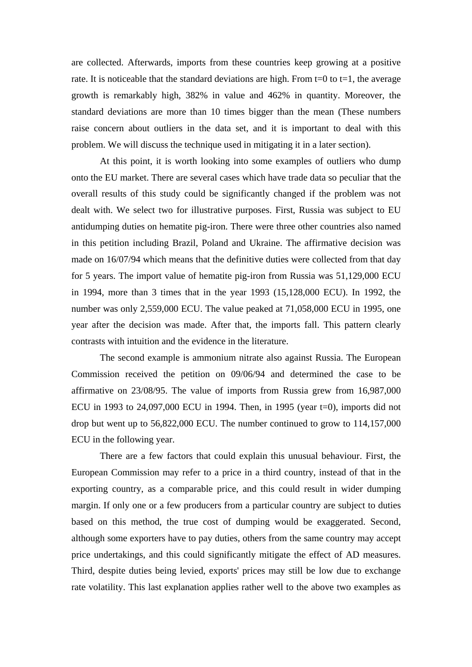are collected. Afterwards, imports from these countries keep growing at a positive rate. It is noticeable that the standard deviations are high. From  $t=0$  to  $t=1$ , the average growth is remarkably high, 382% in value and 462% in quantity. Moreover, the standard deviations are more than 10 times bigger than the mean (These numbers raise concern about outliers in the data set, and it is important to deal with this problem. We will discuss the technique used in mitigating it in a later section).

 At this point, it is worth looking into some examples of outliers who dump onto the EU market. There are several cases which have trade data so peculiar that the overall results of this study could be significantly changed if the problem was not dealt with. We select two for illustrative purposes. First, Russia was subject to EU antidumping duties on hematite pig-iron. There were three other countries also named in this petition including Brazil, Poland and Ukraine. The affirmative decision was made on 16/07/94 which means that the definitive duties were collected from that day for 5 years. The import value of hematite pig-iron from Russia was 51,129,000 ECU in 1994, more than 3 times that in the year 1993 (15,128,000 ECU). In 1992, the number was only 2,559,000 ECU. The value peaked at 71,058,000 ECU in 1995, one year after the decision was made. After that, the imports fall. This pattern clearly contrasts with intuition and the evidence in the literature.

 The second example is ammonium nitrate also against Russia. The European Commission received the petition on 09/06/94 and determined the case to be affirmative on 23/08/95. The value of imports from Russia grew from 16,987,000 ECU in 1993 to  $24,097,000$  ECU in 1994. Then, in 1995 (year t=0), imports did not drop but went up to 56,822,000 ECU. The number continued to grow to 114,157,000 ECU in the following year.

 There are a few factors that could explain this unusual behaviour. First, the European Commission may refer to a price in a third country, instead of that in the exporting country, as a comparable price, and this could result in wider dumping margin. If only one or a few producers from a particular country are subject to duties based on this method, the true cost of dumping would be exaggerated. Second, although some exporters have to pay duties, others from the same country may accept price undertakings, and this could significantly mitigate the effect of AD measures. Third, despite duties being levied, exports' prices may still be low due to exchange rate volatility. This last explanation applies rather well to the above two examples as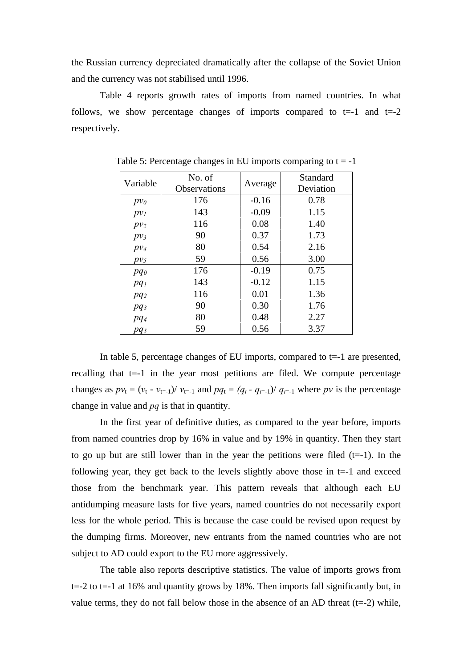the Russian currency depreciated dramatically after the collapse of the Soviet Union and the currency was not stabilised until 1996.

 Table 4 reports growth rates of imports from named countries. In what follows, we show percentage changes of imports compared to  $t=-1$  and  $t=-2$ respectively.

| Variable        | No. of<br><b>Observations</b> | Average | Standard<br>Deviation |
|-----------------|-------------------------------|---------|-----------------------|
| $pv_0$          | 176                           | $-0.16$ | 0.78                  |
| $p v_l$         | 143                           | $-0.09$ | 1.15                  |
| pv <sub>2</sub> | 116                           | 0.08    | 1.40                  |
| $pv_3$          | 90                            | 0.37    | 1.73                  |
| $p v_4$         | 80                            | 0.54    | 2.16                  |
| $pv_5$          | 59                            | 0.56    | 3.00                  |
| pq <sub>0</sub> | 176                           | $-0.19$ | 0.75                  |
| $pq_1$          | 143                           | $-0.12$ | 1.15                  |
| $pq_2$          | 116                           | 0.01    | 1.36                  |
| $pq_3$          | 90                            | 0.30    | 1.76                  |
| pq <sub>4</sub> | 80                            | 0.48    | 2.27                  |
| pq <sub>5</sub> | 59                            | 0.56    | 3.37                  |

Table 5: Percentage changes in EU imports comparing to  $t = -1$ 

 In table 5, percentage changes of EU imports, compared to t=-1 are presented, recalling that  $t=1$  in the year most petitions are filed. We compute percentage changes as  $pv_t = (v_t - v_{t-1})/v_{t-1}$  and  $pq_t = (q_t - q_{t-1})/q_{t-1}$  where pv is the percentage change in value and *pq* is that in quantity.

 In the first year of definitive duties, as compared to the year before, imports from named countries drop by 16% in value and by 19% in quantity. Then they start to go up but are still lower than in the year the petitions were filed  $(t=1)$ . In the following year, they get back to the levels slightly above those in  $t=1$  and exceed those from the benchmark year. This pattern reveals that although each EU antidumping measure lasts for five years, named countries do not necessarily export less for the whole period. This is because the case could be revised upon request by the dumping firms. Moreover, new entrants from the named countries who are not subject to AD could export to the EU more aggressively.

 The table also reports descriptive statistics. The value of imports grows from  $t=2$  to  $t=1$  at 16% and quantity grows by 18%. Then imports fall significantly but, in value terms, they do not fall below those in the absence of an AD threat  $(t=2)$  while,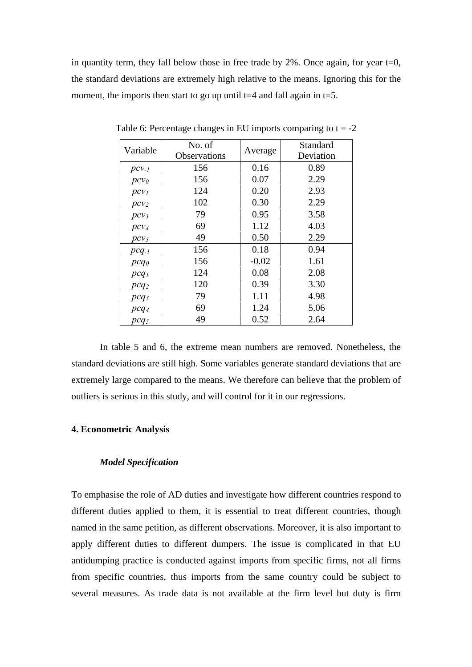in quantity term, they fall below those in free trade by  $2\%$ . Once again, for year t=0, the standard deviations are extremely high relative to the means. Ignoring this for the moment, the imports then start to go up until  $t=4$  and fall again in  $t=5$ .

| Variable         | No. of       |         | Standard  |
|------------------|--------------|---------|-----------|
|                  | Observations | Average | Deviation |
| $pcv_{-l}$       | 156          | 0.16    | 0.89      |
| $pcv_0$          | 156          | 0.07    | 2.29      |
| $pcv_1$          | 124          | 0.20    | 2.93      |
| $pcv_2$          | 102          | 0.30    | 2.29      |
| $pcv_3$          | 79           | 0.95    | 3.58      |
| $pcv_4$          | 69           | 1.12    | 4.03      |
| $pcv_5$          | 49           | 0.50    | 2.29      |
| $pcq_{-1}$       | 156          | 0.18    | 0.94      |
| $pcq_0$          | 156          | $-0.02$ | 1.61      |
| $pcq_1$          | 124          | 0.08    | 2.08      |
| $pcq_2$          | 120          | 0.39    | 3.30      |
| pcq <sub>3</sub> | 79           | 1.11    | 4.98      |
| $pcq_4$          | 69           | 1.24    | 5.06      |
| pcq <sub>5</sub> | 49           | 0.52    | 2.64      |

Table 6: Percentage changes in EU imports comparing to  $t = -2$ 

 In table 5 and 6, the extreme mean numbers are removed. Nonetheless, the standard deviations are still high. Some variables generate standard deviations that are extremely large compared to the means. We therefore can believe that the problem of outliers is serious in this study, and will control for it in our regressions.

# **4. Econometric Analysis**

#### *Model Specification*

To emphasise the role of AD duties and investigate how different countries respond to different duties applied to them, it is essential to treat different countries, though named in the same petition, as different observations. Moreover, it is also important to apply different duties to different dumpers. The issue is complicated in that EU antidumping practice is conducted against imports from specific firms, not all firms from specific countries, thus imports from the same country could be subject to several measures. As trade data is not available at the firm level but duty is firm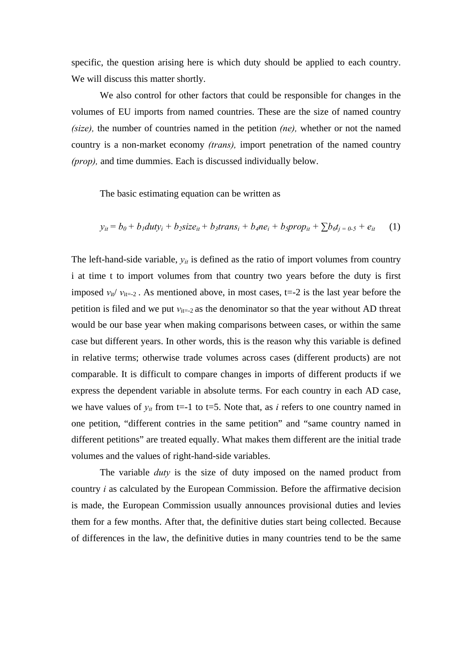specific, the question arising here is which duty should be applied to each country. We will discuss this matter shortly.

 We also control for other factors that could be responsible for changes in the volumes of EU imports from named countries. These are the size of named country *(size),* the number of countries named in the petition *(ne),* whether or not the named country is a non-market economy *(trans),* import penetration of the named country *(prop),* and time dummies. Each is discussed individually below.

The basic estimating equation can be written as

$$
y_{it} = b_0 + b_1 \frac{du}{y_i} + b_2 \frac{size}{it} + b_3 \frac{trans}{i} + b_4 \frac{ne_i}{t} + b_5 \frac{prop_{it}}{t} + \sum b_6 t_{i} = 0.5 + e_{it} \tag{1}
$$

The left-hand-side variable,  $y_{it}$  is defined as the ratio of import volumes from country i at time t to import volumes from that country two years before the duty is first imposed  $v_{\text{it}}/v_{\text{it}} = -2$ . As mentioned above, in most cases, t=-2 is the last year before the petition is filed and we put  $v_{it=-2}$  as the denominator so that the year without AD threat would be our base year when making comparisons between cases, or within the same case but different years. In other words, this is the reason why this variable is defined in relative terms; otherwise trade volumes across cases (different products) are not comparable. It is difficult to compare changes in imports of different products if we express the dependent variable in absolute terms. For each country in each AD case, we have values of  $y_{it}$  from t=-1 to t=5. Note that, as *i* refers to one country named in one petition, "different contries in the same petition" and "same country named in different petitions" are treated equally. What makes them different are the initial trade volumes and the values of right-hand-side variables.

 The variable *duty* is the size of duty imposed on the named product from country *i* as calculated by the European Commission. Before the affirmative decision is made, the European Commission usually announces provisional duties and levies them for a few months. After that, the definitive duties start being collected. Because of differences in the law, the definitive duties in many countries tend to be the same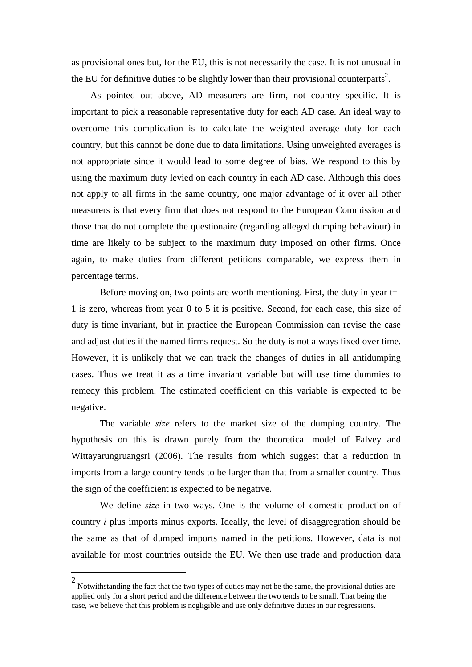as provisional ones but, for the EU, this is not necessarily the case. It is not unusual in the EU for definitive duties to be slightly lower than their provisional counterparts<sup>2</sup>.

 As pointed out above, AD measurers are firm, not country specific. It is important to pick a reasonable representative duty for each AD case. An ideal way to overcome this complication is to calculate the weighted average duty for each country, but this cannot be done due to data limitations. Using unweighted averages is not appropriate since it would lead to some degree of bias. We respond to this by using the maximum duty levied on each country in each AD case. Although this does not apply to all firms in the same country, one major advantage of it over all other measurers is that every firm that does not respond to the European Commission and those that do not complete the questionaire (regarding alleged dumping behaviour) in time are likely to be subject to the maximum duty imposed on other firms. Once again, to make duties from different petitions comparable, we express them in percentage terms.

Before moving on, two points are worth mentioning. First, the duty in year t=-1 is zero, whereas from year 0 to 5 it is positive. Second, for each case, this size of duty is time invariant, but in practice the European Commission can revise the case and adjust duties if the named firms request. So the duty is not always fixed over time. However, it is unlikely that we can track the changes of duties in all antidumping cases. Thus we treat it as a time invariant variable but will use time dummies to remedy this problem. The estimated coefficient on this variable is expected to be negative.

 The variable *size* refers to the market size of the dumping country. The hypothesis on this is drawn purely from the theoretical model of Falvey and Wittayarungruangsri (2006). The results from which suggest that a reduction in imports from a large country tends to be larger than that from a smaller country. Thus the sign of the coefficient is expected to be negative.

 We define *size* in two ways. One is the volume of domestic production of country *i* plus imports minus exports. Ideally, the level of disaggregration should be the same as that of dumped imports named in the petitions. However, data is not available for most countries outside the EU. We then use trade and production data

 $\overline{a}$ 

<sup>2</sup> Notwithstanding the fact that the two types of duties may not be the same, the provisional duties are applied only for a short period and the difference between the two tends to be small. That being the case, we believe that this problem is negligible and use only definitive duties in our regressions.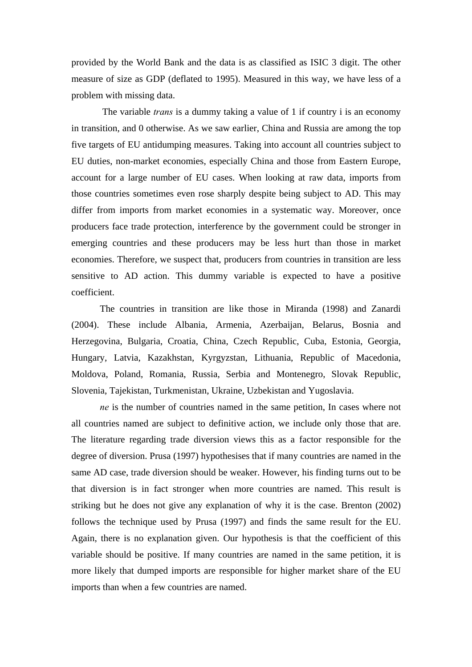provided by the World Bank and the data is as classified as ISIC 3 digit. The other measure of size as GDP (deflated to 1995). Measured in this way, we have less of a problem with missing data.

 The variable *trans* is a dummy taking a value of 1 if country i is an economy in transition, and 0 otherwise. As we saw earlier, China and Russia are among the top five targets of EU antidumping measures. Taking into account all countries subject to EU duties, non-market economies, especially China and those from Eastern Europe, account for a large number of EU cases. When looking at raw data, imports from those countries sometimes even rose sharply despite being subject to AD. This may differ from imports from market economies in a systematic way. Moreover, once producers face trade protection, interference by the government could be stronger in emerging countries and these producers may be less hurt than those in market economies. Therefore, we suspect that, producers from countries in transition are less sensitive to AD action. This dummy variable is expected to have a positive coefficient.

 The countries in transition are like those in Miranda (1998) and Zanardi (2004). These include Albania, Armenia, Azerbaijan, Belarus, Bosnia and Herzegovina, Bulgaria, Croatia, China, Czech Republic, Cuba, Estonia, Georgia, Hungary, Latvia, Kazakhstan, Kyrgyzstan, Lithuania, Republic of Macedonia, Moldova, Poland, Romania, Russia, Serbia and Montenegro, Slovak Republic, Slovenia, Tajekistan, Turkmenistan, Ukraine, Uzbekistan and Yugoslavia.

 *ne* is the number of countries named in the same petition, In cases where not all countries named are subject to definitive action, we include only those that are. The literature regarding trade diversion views this as a factor responsible for the degree of diversion. Prusa (1997) hypothesises that if many countries are named in the same AD case, trade diversion should be weaker. However, his finding turns out to be that diversion is in fact stronger when more countries are named. This result is striking but he does not give any explanation of why it is the case. Brenton (2002) follows the technique used by Prusa (1997) and finds the same result for the EU. Again, there is no explanation given. Our hypothesis is that the coefficient of this variable should be positive. If many countries are named in the same petition, it is more likely that dumped imports are responsible for higher market share of the EU imports than when a few countries are named.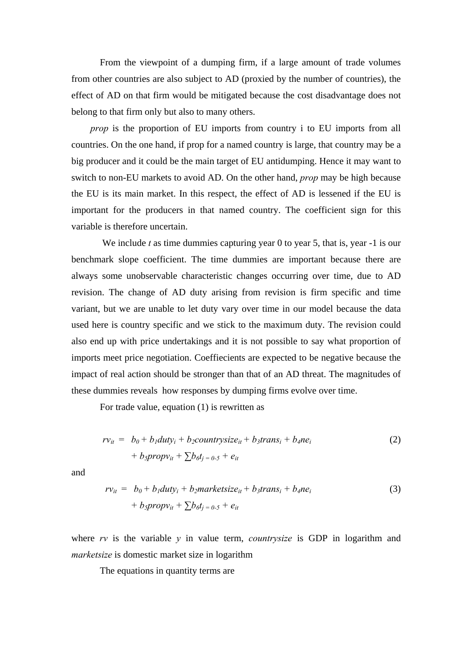From the viewpoint of a dumping firm, if a large amount of trade volumes from other countries are also subject to AD (proxied by the number of countries), the effect of AD on that firm would be mitigated because the cost disadvantage does not belong to that firm only but also to many others.

*prop* is the proportion of EU imports from country i to EU imports from all countries. On the one hand, if prop for a named country is large, that country may be a big producer and it could be the main target of EU antidumping. Hence it may want to switch to non-EU markets to avoid AD. On the other hand, *prop* may be high because the EU is its main market. In this respect, the effect of AD is lessened if the EU is important for the producers in that named country. The coefficient sign for this variable is therefore uncertain.

We include *t* as time dummies capturing year 0 to year 5, that is, year -1 is our benchmark slope coefficient. The time dummies are important because there are always some unobservable characteristic changes occurring over time, due to AD revision. The change of AD duty arising from revision is firm specific and time variant, but we are unable to let duty vary over time in our model because the data used here is country specific and we stick to the maximum duty. The revision could also end up with price undertakings and it is not possible to say what proportion of imports meet price negotiation. Coeffiecients are expected to be negative because the impact of real action should be stronger than that of an AD threat. The magnitudes of these dummies reveals how responses by dumping firms evolve over time.

For trade value, equation (1) is rewritten as

$$
rv_{it} = b_0 + b_1duty_i + b_2countrysize_{it} + b_3trans_i + b_4ne_i
$$
  
+ 
$$
b_3propv_{it} + \sum b_6t_{j=0.5} + e_{it}
$$
 (2)

and

$$
rv_{it} = b_0 + b_1 duty_i + b_2marketsize_{it} + b_3trans_i + b_4ne_i
$$
  
+ 
$$
b_5propv_{it} + \sum b_6t_j = 0.5 + e_{it}
$$
 (3)

where *rv* is the variable *y* in value term, *countrysize* is GDP in logarithm and *marketsize* is domestic market size in logarithm

The equations in quantity terms are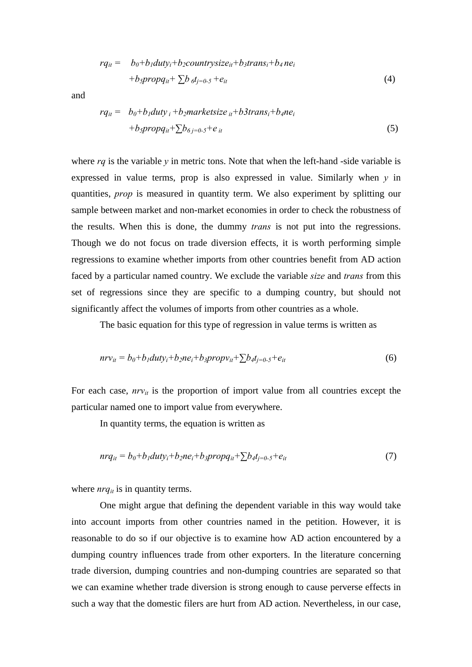$$
rq_{it} = b_0 + b_1 duty_i + b_2countrysize_{it} + b_3trans_i + b_4 ne_i
$$
  
+
$$
b_3propq_{it} + \sum b_i d_{j=0.5} + e_{it}
$$
 (4)

and

$$
rq_{it} = b_0 + b_1 duty_i + b_2marketsize_{it} + b3trans_i + b_4ne_i
$$
  
+
$$
b_3propq_{it} + \sum b_{\delta j=0.5} + e_{it}
$$
 (5)

where  $rq$  is the variable  $y$  in metric tons. Note that when the left-hand -side variable is expressed in value terms, prop is also expressed in value. Similarly when *y* in quantities, *prop* is measured in quantity term. We also experiment by splitting our sample between market and non-market economies in order to check the robustness of the results. When this is done, the dummy *trans* is not put into the regressions. Though we do not focus on trade diversion effects, it is worth performing simple regressions to examine whether imports from other countries benefit from AD action faced by a particular named country. We exclude the variable *size* and *trans* from this set of regressions since they are specific to a dumping country, but should not significantly affect the volumes of imports from other countries as a whole.

The basic equation for this type of regression in value terms is written as

$$
nrv_{it} = b_0 + b_1duty_i + b_2ne_i + b_3propv_{it} + \sum b_4t_{j=0} - s + e_{it}
$$
\n
$$
(6)
$$

For each case,  $nrv_{it}$  is the proportion of import value from all countries except the particular named one to import value from everywhere.

In quantity terms, the equation is written as

$$
nrq_{it} = b_0 + b_1 duty_i + b_2ne_i + b_3propq_{it} + \sum b_4t_{j=0.5} + e_{it}
$$
\n
$$
\tag{7}
$$

where  $nrq_{it}$  is in quantity terms.

 One might argue that defining the dependent variable in this way would take into account imports from other countries named in the petition. However, it is reasonable to do so if our objective is to examine how AD action encountered by a dumping country influences trade from other exporters. In the literature concerning trade diversion, dumping countries and non-dumping countries are separated so that we can examine whether trade diversion is strong enough to cause perverse effects in such a way that the domestic filers are hurt from AD action. Nevertheless, in our case,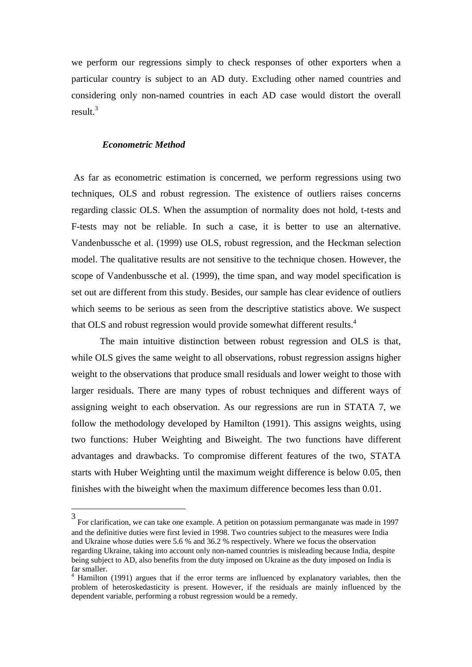we perform our regressions simply to check responses of other exporters when a particular country is subject to an AD duty. Excluding other named countries and considering only non-named countries in each AD case would distort the overall result.3

#### *Econometric Method*

 $\overline{a}$ 

 As far as econometric estimation is concerned, we perform regressions using two techniques, OLS and robust regression. The existence of outliers raises concerns regarding classic OLS. When the assumption of normality does not hold, t-tests and F-tests may not be reliable. In such a case, it is better to use an alternative. Vandenbussche et al. (1999) use OLS, robust regression, and the Heckman selection model. The qualitative results are not sensitive to the technique chosen. However, the scope of Vandenbussche et al. (1999), the time span, and way model specification is set out are different from this study. Besides, our sample has clear evidence of outliers which seems to be serious as seen from the descriptive statistics above. We suspect that OLS and robust regression would provide somewhat different results.<sup>4</sup>

 The main intuitive distinction between robust regression and OLS is that, while OLS gives the same weight to all observations, robust regression assigns higher weight to the observations that produce small residuals and lower weight to those with larger residuals. There are many types of robust techniques and different ways of assigning weight to each observation. As our regressions are run in STATA 7, we follow the methodology developed by Hamilton (1991). This assigns weights, using two functions: Huber Weighting and Biweight. The two functions have different advantages and drawbacks. To compromise different features of the two, STATA starts with Huber Weighting until the maximum weight difference is below 0.05, then finishes with the biweight when the maximum difference becomes less than 0.01.

<sup>3</sup> For clarification, we can take one example. A petition on potassium permanganate was made in 1997 and the definitive duties were first levied in 1998. Two countries subject to the measures were India and Ukraine whose duties were 5.6 % and 36.2 % respectively. Where we focus the observation regarding Ukraine, taking into account only non-named countries is misleading because India, despite being subject to AD, also benefits from the duty imposed on Ukraine as the duty imposed on India is far smaller.

<sup>&</sup>lt;sup>4</sup> Hamilton (1991) argues that if the error terms are influenced by explanatory variables, then the problem of heteroskedasticity is present. However, if the residuals are mainly influenced by the dependent variable, performing a robust regression would be a remedy.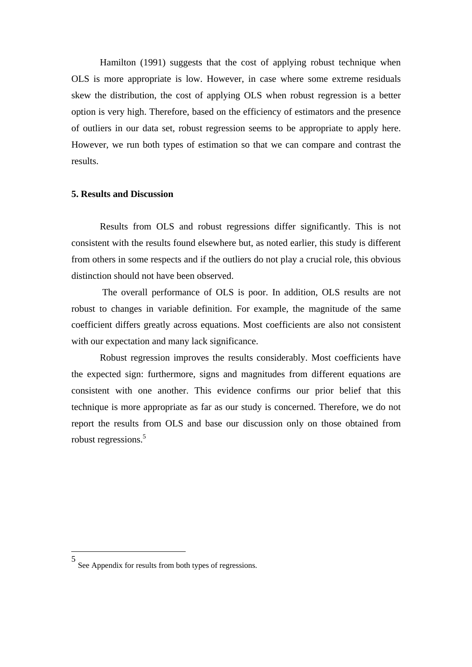Hamilton (1991) suggests that the cost of applying robust technique when OLS is more appropriate is low. However, in case where some extreme residuals skew the distribution, the cost of applying OLS when robust regression is a better option is very high. Therefore, based on the efficiency of estimators and the presence of outliers in our data set, robust regression seems to be appropriate to apply here. However, we run both types of estimation so that we can compare and contrast the results.

#### **5. Results and Discussion**

 Results from OLS and robust regressions differ significantly. This is not consistent with the results found elsewhere but, as noted earlier, this study is different from others in some respects and if the outliers do not play a crucial role, this obvious distinction should not have been observed.

 The overall performance of OLS is poor. In addition, OLS results are not robust to changes in variable definition. For example, the magnitude of the same coefficient differs greatly across equations. Most coefficients are also not consistent with our expectation and many lack significance.

 Robust regression improves the results considerably. Most coefficients have the expected sign: furthermore, signs and magnitudes from different equations are consistent with one another. This evidence confirms our prior belief that this technique is more appropriate as far as our study is concerned. Therefore, we do not report the results from OLS and base our discussion only on those obtained from robust regressions.<sup>5</sup>

 $\overline{a}$ 

<sup>5</sup> See Appendix for results from both types of regressions.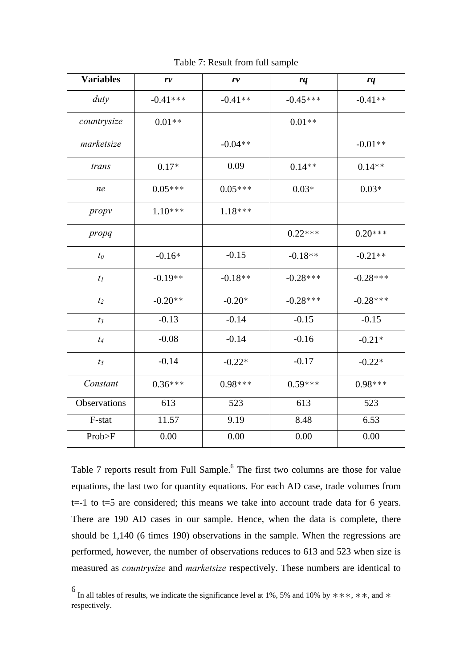| <b>Variables</b> | r v        | r v       | rq         | rq         |
|------------------|------------|-----------|------------|------------|
| duty             | $-0.41***$ | $-0.41**$ | $-0.45***$ | $-0.41**$  |
| countrysize      | $0.01**$   |           | $0.01**$   |            |
| marketsize       |            | $-0.04**$ |            | $-0.01**$  |
| trans            | $0.17*$    | 0.09      | $0.14**$   | $0.14**$   |
| ne               | $0.05***$  | $0.05***$ | $0.03*$    | $0.03*$    |
| propy            | $1.10***$  | $1.18***$ |            |            |
| propq            |            |           | $0.22***$  | $0.20***$  |
| $t_0$            | $-0.16*$   | $-0.15$   | $-0.18**$  | $-0.21**$  |
| $t_I$            | $-0.19**$  | $-0.18**$ | $-0.28***$ | $-0.28***$ |
| t <sub>2</sub>   | $-0.20**$  | $-0.20*$  | $-0.28***$ | $-0.28***$ |
| $t_3$            | $-0.13$    | $-0.14$   | $-0.15$    | $-0.15$    |
| $t_4$            | $-0.08$    | $-0.14$   | $-0.16$    | $-0.21*$   |
| $t_5$            | $-0.14$    | $-0.22*$  | $-0.17$    | $-0.22*$   |
| Constant         | $0.36***$  | $0.98***$ | $0.59***$  | $0.98***$  |
| Observations     | 613        | 523       | 613        | 523        |
| F-stat           | 11.57      | 9.19      | 8.48       | 6.53       |
| Prob>F           | 0.00       | 0.00      | 0.00       | 0.00       |

Table 7: Result from full sample

Table 7 reports result from Full Sample.<sup>6</sup> The first two columns are those for value equations, the last two for quantity equations. For each AD case, trade volumes from  $t=-1$  to  $t=5$  are considered; this means we take into account trade data for 6 years. There are 190 AD cases in our sample. Hence, when the data is complete, there should be 1,140 (6 times 190) observations in the sample. When the regressions are performed, however, the number of observations reduces to 613 and 523 when size is measured as *countrysize* and *marketsize* respectively. These numbers are identical to

 $\overline{a}$ 

<sup>6</sup> In all tables of results, we indicate the significance level at 1%, 5% and 10% by ∗∗∗, ∗∗, and ∗ respectively.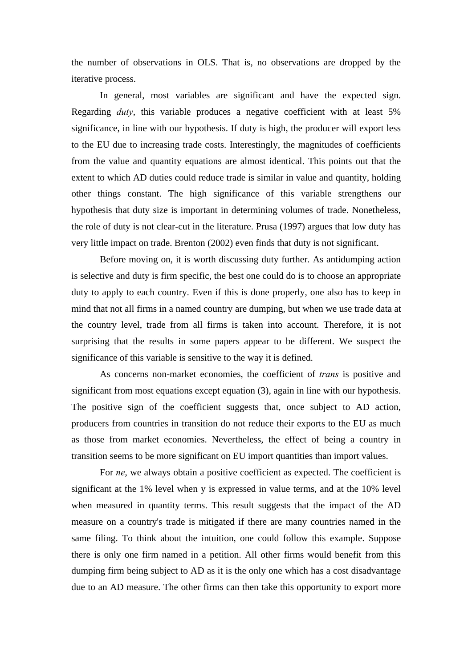the number of observations in OLS. That is, no observations are dropped by the iterative process.

 In general, most variables are significant and have the expected sign. Regarding *duty*, this variable produces a negative coefficient with at least 5% significance, in line with our hypothesis. If duty is high, the producer will export less to the EU due to increasing trade costs. Interestingly, the magnitudes of coefficients from the value and quantity equations are almost identical. This points out that the extent to which AD duties could reduce trade is similar in value and quantity, holding other things constant. The high significance of this variable strengthens our hypothesis that duty size is important in determining volumes of trade. Nonetheless, the role of duty is not clear-cut in the literature. Prusa (1997) argues that low duty has very little impact on trade. Brenton (2002) even finds that duty is not significant.

 Before moving on, it is worth discussing duty further. As antidumping action is selective and duty is firm specific, the best one could do is to choose an appropriate duty to apply to each country. Even if this is done properly, one also has to keep in mind that not all firms in a named country are dumping, but when we use trade data at the country level, trade from all firms is taken into account. Therefore, it is not surprising that the results in some papers appear to be different. We suspect the significance of this variable is sensitive to the way it is defined.

As concerns non-market economies, the coefficient of *trans* is positive and significant from most equations except equation (3), again in line with our hypothesis. The positive sign of the coefficient suggests that, once subject to AD action, producers from countries in transition do not reduce their exports to the EU as much as those from market economies. Nevertheless, the effect of being a country in transition seems to be more significant on EU import quantities than import values.

For *ne*, we always obtain a positive coefficient as expected. The coefficient is significant at the 1% level when y is expressed in value terms, and at the 10% level when measured in quantity terms. This result suggests that the impact of the AD measure on a country's trade is mitigated if there are many countries named in the same filing. To think about the intuition, one could follow this example. Suppose there is only one firm named in a petition. All other firms would benefit from this dumping firm being subject to AD as it is the only one which has a cost disadvantage due to an AD measure. The other firms can then take this opportunity to export more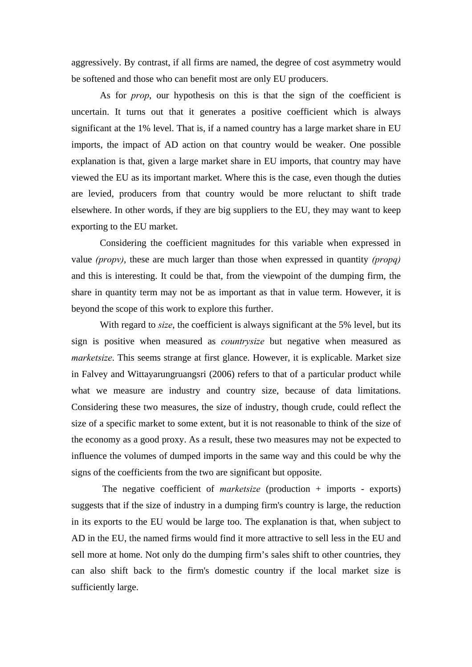aggressively. By contrast, if all firms are named, the degree of cost asymmetry would be softened and those who can benefit most are only EU producers.

 As for *prop*, our hypothesis on this is that the sign of the coefficient is uncertain. It turns out that it generates a positive coefficient which is always significant at the 1% level. That is, if a named country has a large market share in EU imports, the impact of AD action on that country would be weaker. One possible explanation is that, given a large market share in EU imports, that country may have viewed the EU as its important market. Where this is the case, even though the duties are levied, producers from that country would be more reluctant to shift trade elsewhere. In other words, if they are big suppliers to the EU, they may want to keep exporting to the EU market.

 Considering the coefficient magnitudes for this variable when expressed in value *(propv)*, these are much larger than those when expressed in quantity *(propq)* and this is interesting. It could be that, from the viewpoint of the dumping firm, the share in quantity term may not be as important as that in value term. However, it is beyond the scope of this work to explore this further.

With regard to *size*, the coefficient is always significant at the 5% level, but its sign is positive when measured as *countrysize* but negative when measured as *marketsize*. This seems strange at first glance. However, it is explicable. Market size in Falvey and Wittayarungruangsri (2006) refers to that of a particular product while what we measure are industry and country size, because of data limitations. Considering these two measures, the size of industry, though crude, could reflect the size of a specific market to some extent, but it is not reasonable to think of the size of the economy as a good proxy. As a result, these two measures may not be expected to influence the volumes of dumped imports in the same way and this could be why the signs of the coefficients from the two are significant but opposite.

 The negative coefficient of *marketsize* (production + imports - exports) suggests that if the size of industry in a dumping firm's country is large, the reduction in its exports to the EU would be large too. The explanation is that, when subject to AD in the EU, the named firms would find it more attractive to sell less in the EU and sell more at home. Not only do the dumping firm's sales shift to other countries, they can also shift back to the firm's domestic country if the local market size is sufficiently large.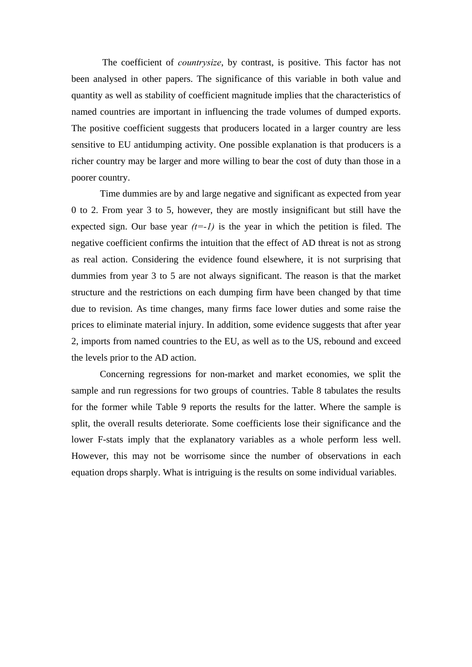The coefficient of *countrysize*, by contrast, is positive. This factor has not been analysed in other papers. The significance of this variable in both value and quantity as well as stability of coefficient magnitude implies that the characteristics of named countries are important in influencing the trade volumes of dumped exports. The positive coefficient suggests that producers located in a larger country are less sensitive to EU antidumping activity. One possible explanation is that producers is a richer country may be larger and more willing to bear the cost of duty than those in a poorer country.

 Time dummies are by and large negative and significant as expected from year 0 to 2. From year 3 to 5, however, they are mostly insignificant but still have the expected sign. Our base year  $(t=-1)$  is the year in which the petition is filed. The negative coefficient confirms the intuition that the effect of AD threat is not as strong as real action. Considering the evidence found elsewhere, it is not surprising that dummies from year 3 to 5 are not always significant. The reason is that the market structure and the restrictions on each dumping firm have been changed by that time due to revision. As time changes, many firms face lower duties and some raise the prices to eliminate material injury. In addition, some evidence suggests that after year 2, imports from named countries to the EU, as well as to the US, rebound and exceed the levels prior to the AD action.

 Concerning regressions for non-market and market economies, we split the sample and run regressions for two groups of countries. Table 8 tabulates the results for the former while Table 9 reports the results for the latter. Where the sample is split, the overall results deteriorate. Some coefficients lose their significance and the lower F-stats imply that the explanatory variables as a whole perform less well. However, this may not be worrisome since the number of observations in each equation drops sharply. What is intriguing is the results on some individual variables.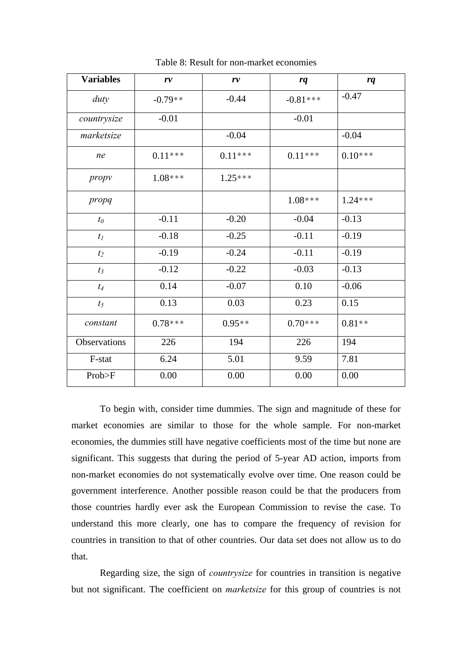| <b>Variables</b> | r v       | r v       | rq         | rq        |
|------------------|-----------|-----------|------------|-----------|
| duty             | $-0.79**$ | $-0.44$   | $-0.81***$ | $-0.47$   |
| countrysize      | $-0.01$   |           | $-0.01$    |           |
| marketsize       |           | $-0.04$   |            | $-0.04$   |
| ne               | $0.11***$ | $0.11***$ | $0.11***$  | $0.10***$ |
| propy            | $1.08***$ | $1.25***$ |            |           |
| propq            |           |           | $1.08***$  | $1.24***$ |
| $t_0$            | $-0.11$   | $-0.20$   | $-0.04$    | $-0.13$   |
| $t_I$            | $-0.18$   | $-0.25$   | $-0.11$    | $-0.19$   |
| t <sub>2</sub>   | $-0.19$   | $-0.24$   | $-0.11$    | $-0.19$   |
| $t_3$            | $-0.12$   | $-0.22$   | $-0.03$    | $-0.13$   |
| $t_4$            | 0.14      | $-0.07$   | 0.10       | $-0.06$   |
| $t_5$            | 0.13      | 0.03      | 0.23       | 0.15      |
| constant         | $0.78***$ | $0.95**$  | $0.70***$  | $0.81**$  |
| Observations     | 226       | 194       | 226        | 194       |
| F-stat           | 6.24      | 5.01      | 9.59       | 7.81      |
| Prob>F           | 0.00      | 0.00      | 0.00       | 0.00      |

Table 8: Result for non-market economies

 To begin with, consider time dummies. The sign and magnitude of these for market economies are similar to those for the whole sample. For non-market economies, the dummies still have negative coefficients most of the time but none are significant. This suggests that during the period of 5-year AD action, imports from non-market economies do not systematically evolve over time. One reason could be government interference. Another possible reason could be that the producers from those countries hardly ever ask the European Commission to revise the case. To understand this more clearly, one has to compare the frequency of revision for countries in transition to that of other countries. Our data set does not allow us to do that.

Regarding size, the sign of *countrysize* for countries in transition is negative but not significant. The coefficient on *marketsize* for this group of countries is not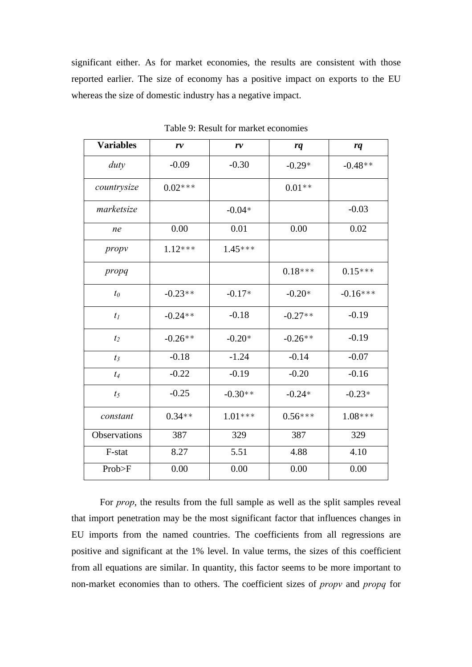significant either. As for market economies, the results are consistent with those reported earlier. The size of economy has a positive impact on exports to the EU whereas the size of domestic industry has a negative impact.

| <b>Variables</b> | r v       | r v       | rq        | rq         |
|------------------|-----------|-----------|-----------|------------|
| duty             | $-0.09$   | $-0.30$   | $-0.29*$  | $-0.48**$  |
| countrysize      | $0.02***$ |           | $0.01**$  |            |
| marketsize       |           | $-0.04*$  |           | $-0.03$    |
| ne               | 0.00      | 0.01      | 0.00      | 0.02       |
| propy            | $1.12***$ | $1.45***$ |           |            |
| propq            |           |           | $0.18***$ | $0.15***$  |
| $t_0$            | $-0.23**$ | $-0.17*$  | $-0.20*$  | $-0.16***$ |
| $t_I$            | $-0.24**$ | $-0.18$   | $-0.27**$ | $-0.19$    |
| $t_2$            | $-0.26**$ | $-0.20*$  | $-0.26**$ | $-0.19$    |
| $t_3$            | $-0.18$   | $-1.24$   | $-0.14$   | $-0.07$    |
| $t_4$            | $-0.22$   | $-0.19$   | $-0.20$   | $-0.16$    |
| $t_5$            | $-0.25$   | $-0.30**$ | $-0.24*$  | $-0.23*$   |
| constant         | $0.34**$  | $1.01***$ | $0.56***$ | $1.08***$  |
| Observations     | 387       | 329       | 387       | 329        |
| F-stat           | 8.27      | 5.51      | 4.88      | 4.10       |
| Prob>F           | 0.00      | 0.00      | 0.00      | 0.00       |

Table 9: Result for market economies

 For *prop*, the results from the full sample as well as the split samples reveal that import penetration may be the most significant factor that influences changes in EU imports from the named countries. The coefficients from all regressions are positive and significant at the 1% level. In value terms, the sizes of this coefficient from all equations are similar. In quantity, this factor seems to be more important to non-market economies than to others. The coefficient sizes of *propv* and *propq* for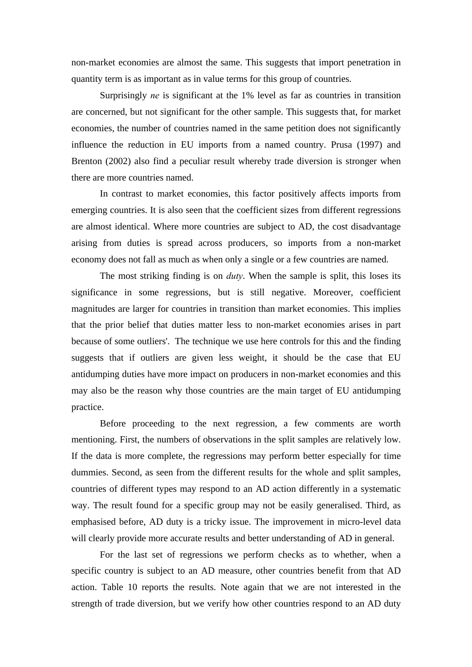non-market economies are almost the same. This suggests that import penetration in quantity term is as important as in value terms for this group of countries.

Surprisingly *ne* is significant at the 1% level as far as countries in transition are concerned, but not significant for the other sample. This suggests that, for market economies, the number of countries named in the same petition does not significantly influence the reduction in EU imports from a named country. Prusa (1997) and Brenton (2002) also find a peculiar result whereby trade diversion is stronger when there are more countries named.

 In contrast to market economies, this factor positively affects imports from emerging countries. It is also seen that the coefficient sizes from different regressions are almost identical. Where more countries are subject to AD, the cost disadvantage arising from duties is spread across producers, so imports from a non-market economy does not fall as much as when only a single or a few countries are named.

 The most striking finding is on *duty*. When the sample is split, this loses its significance in some regressions, but is still negative. Moreover, coefficient magnitudes are larger for countries in transition than market economies. This implies that the prior belief that duties matter less to non-market economies arises in part because of some outliers'. The technique we use here controls for this and the finding suggests that if outliers are given less weight, it should be the case that EU antidumping duties have more impact on producers in non-market economies and this may also be the reason why those countries are the main target of EU antidumping practice.

 Before proceeding to the next regression, a few comments are worth mentioning. First, the numbers of observations in the split samples are relatively low. If the data is more complete, the regressions may perform better especially for time dummies. Second, as seen from the different results for the whole and split samples, countries of different types may respond to an AD action differently in a systematic way. The result found for a specific group may not be easily generalised. Third, as emphasised before, AD duty is a tricky issue. The improvement in micro-level data will clearly provide more accurate results and better understanding of AD in general.

 For the last set of regressions we perform checks as to whether, when a specific country is subject to an AD measure, other countries benefit from that AD action. Table 10 reports the results. Note again that we are not interested in the strength of trade diversion, but we verify how other countries respond to an AD duty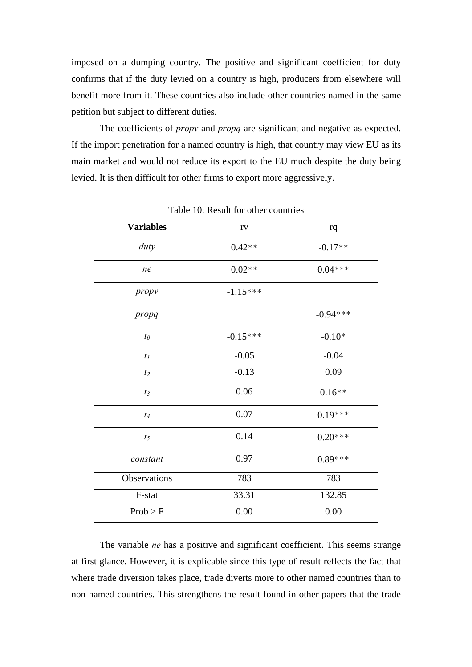imposed on a dumping country. The positive and significant coefficient for duty confirms that if the duty levied on a country is high, producers from elsewhere will benefit more from it. These countries also include other countries named in the same petition but subject to different duties.

 The coefficients of *propv* and *propq* are significant and negative as expected. If the import penetration for a named country is high, that country may view EU as its main market and would not reduce its export to the EU much despite the duty being levied. It is then difficult for other firms to export more aggressively.

| <b>Variables</b> | rv         | rq         |
|------------------|------------|------------|
| duty             | $0.42**$   | $-0.17**$  |
| ne               | $0.02**$   | $0.04***$  |
| propy            | $-1.15***$ |            |
| propq            |            | $-0.94***$ |
| $t_0$            | $-0.15***$ | $-0.10*$   |
| $t_I$            | $-0.05$    | $-0.04$    |
| $t_2$            | $-0.13$    | 0.09       |
| $t_3$            | 0.06       | $0.16**$   |
| $t_4$            | 0.07       | $0.19***$  |
| $t_5$            | 0.14       | $0.20***$  |
| constant         | 0.97       | $0.89***$  |
| Observations     | 783        | 783        |
| F-stat           | 33.31      | 132.85     |
| Prob > F         | 0.00       | 0.00       |

Table 10: Result for other countries

 The variable *ne* has a positive and significant coefficient. This seems strange at first glance. However, it is explicable since this type of result reflects the fact that where trade diversion takes place, trade diverts more to other named countries than to non-named countries. This strengthens the result found in other papers that the trade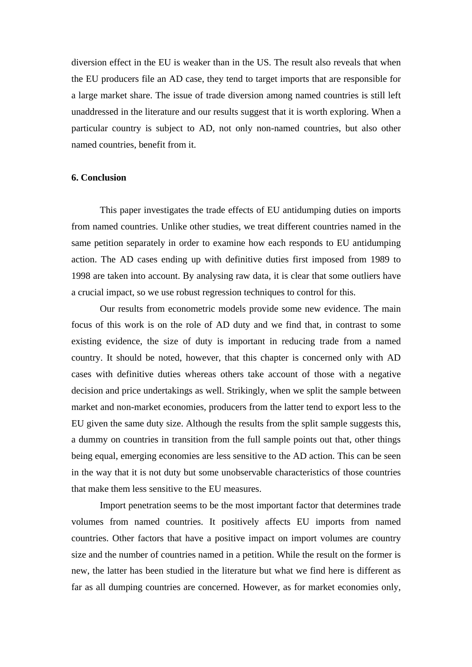diversion effect in the EU is weaker than in the US. The result also reveals that when the EU producers file an AD case, they tend to target imports that are responsible for a large market share. The issue of trade diversion among named countries is still left unaddressed in the literature and our results suggest that it is worth exploring. When a particular country is subject to AD, not only non-named countries, but also other named countries, benefit from it.

#### **6. Conclusion**

 This paper investigates the trade effects of EU antidumping duties on imports from named countries. Unlike other studies, we treat different countries named in the same petition separately in order to examine how each responds to EU antidumping action. The AD cases ending up with definitive duties first imposed from 1989 to 1998 are taken into account. By analysing raw data, it is clear that some outliers have a crucial impact, so we use robust regression techniques to control for this.

 Our results from econometric models provide some new evidence. The main focus of this work is on the role of AD duty and we find that, in contrast to some existing evidence, the size of duty is important in reducing trade from a named country. It should be noted, however, that this chapter is concerned only with AD cases with definitive duties whereas others take account of those with a negative decision and price undertakings as well. Strikingly, when we split the sample between market and non-market economies, producers from the latter tend to export less to the EU given the same duty size. Although the results from the split sample suggests this, a dummy on countries in transition from the full sample points out that, other things being equal, emerging economies are less sensitive to the AD action. This can be seen in the way that it is not duty but some unobservable characteristics of those countries that make them less sensitive to the EU measures.

 Import penetration seems to be the most important factor that determines trade volumes from named countries. It positively affects EU imports from named countries. Other factors that have a positive impact on import volumes are country size and the number of countries named in a petition. While the result on the former is new, the latter has been studied in the literature but what we find here is different as far as all dumping countries are concerned. However, as for market economies only,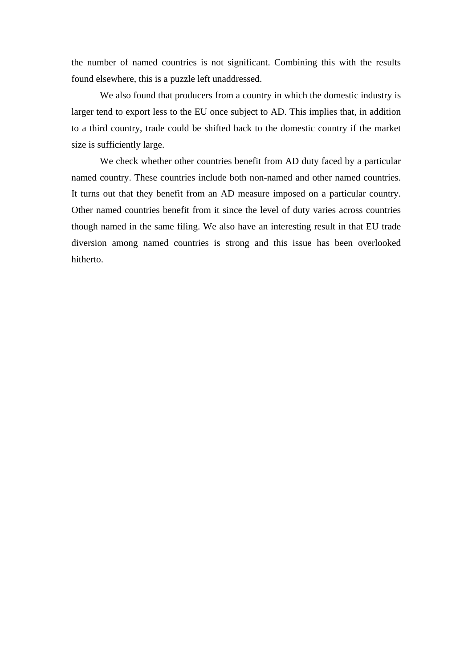the number of named countries is not significant. Combining this with the results found elsewhere, this is a puzzle left unaddressed.

 We also found that producers from a country in which the domestic industry is larger tend to export less to the EU once subject to AD. This implies that, in addition to a third country, trade could be shifted back to the domestic country if the market size is sufficiently large.

We check whether other countries benefit from AD duty faced by a particular named country. These countries include both non-named and other named countries. It turns out that they benefit from an AD measure imposed on a particular country. Other named countries benefit from it since the level of duty varies across countries though named in the same filing. We also have an interesting result in that EU trade diversion among named countries is strong and this issue has been overlooked hitherto.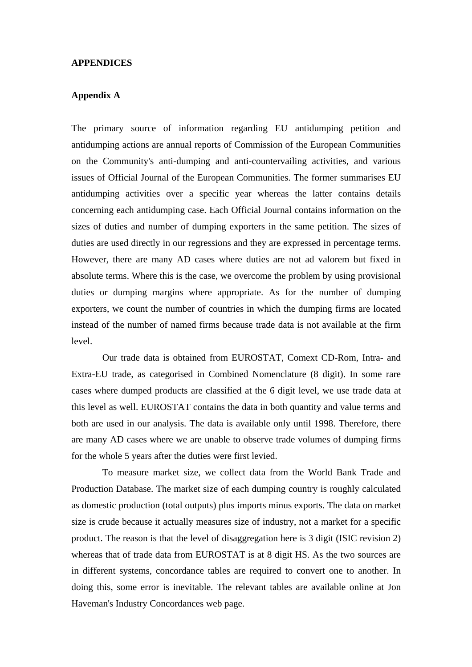#### **APPENDICES**

# **Appendix A**

The primary source of information regarding EU antidumping petition and antidumping actions are annual reports of Commission of the European Communities on the Community's anti-dumping and anti-countervailing activities, and various issues of Official Journal of the European Communities. The former summarises EU antidumping activities over a specific year whereas the latter contains details concerning each antidumping case. Each Official Journal contains information on the sizes of duties and number of dumping exporters in the same petition. The sizes of duties are used directly in our regressions and they are expressed in percentage terms. However, there are many AD cases where duties are not ad valorem but fixed in absolute terms. Where this is the case, we overcome the problem by using provisional duties or dumping margins where appropriate. As for the number of dumping exporters, we count the number of countries in which the dumping firms are located instead of the number of named firms because trade data is not available at the firm level.

 Our trade data is obtained from EUROSTAT, Comext CD-Rom, Intra- and Extra-EU trade, as categorised in Combined Nomenclature (8 digit). In some rare cases where dumped products are classified at the 6 digit level, we use trade data at this level as well. EUROSTAT contains the data in both quantity and value terms and both are used in our analysis. The data is available only until 1998. Therefore, there are many AD cases where we are unable to observe trade volumes of dumping firms for the whole 5 years after the duties were first levied.

 To measure market size, we collect data from the World Bank Trade and Production Database. The market size of each dumping country is roughly calculated as domestic production (total outputs) plus imports minus exports. The data on market size is crude because it actually measures size of industry, not a market for a specific product. The reason is that the level of disaggregation here is 3 digit (ISIC revision 2) whereas that of trade data from EUROSTAT is at 8 digit HS. As the two sources are in different systems, concordance tables are required to convert one to another. In doing this, some error is inevitable. The relevant tables are available online at Jon Haveman's Industry Concordances web page.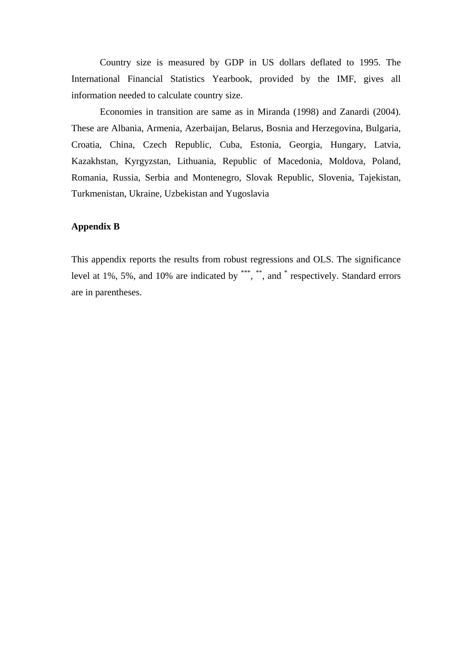Country size is measured by GDP in US dollars deflated to 1995. The International Financial Statistics Yearbook, provided by the IMF, gives all information needed to calculate country size.

 Economies in transition are same as in Miranda (1998) and Zanardi (2004). These are Albania, Armenia, Azerbaijan, Belarus, Bosnia and Herzegovina, Bulgaria, Croatia, China, Czech Republic, Cuba, Estonia, Georgia, Hungary, Latvia, Kazakhstan, Kyrgyzstan, Lithuania, Republic of Macedonia, Moldova, Poland, Romania, Russia, Serbia and Montenegro, Slovak Republic, Slovenia, Tajekistan, Turkmenistan, Ukraine, Uzbekistan and Yugoslavia

# **Appendix B**

This appendix reports the results from robust regressions and OLS. The significance level at 1%, 5%, and 10% are indicated by \*\*\*, \*\*, and \* respectively. Standard errors are in parentheses.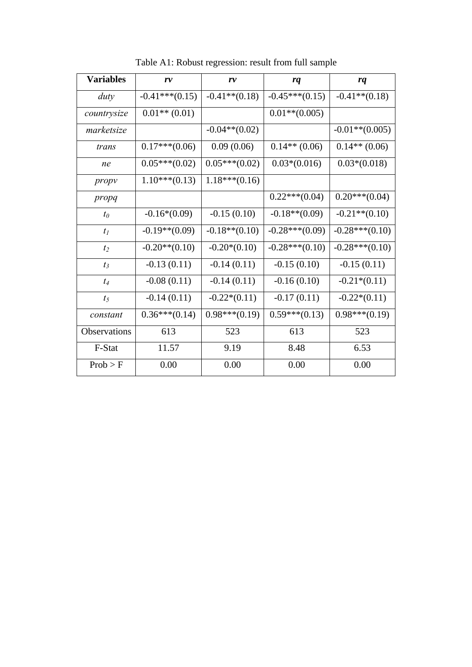| <b>Variables</b> | r v              | r v              | rq               | rq                |
|------------------|------------------|------------------|------------------|-------------------|
| duty             | $-0.41***(0.15)$ | $-0.41**$ (0.18) | $-0.45***(0.15)$ | $-0.41**$ (0.18)  |
| countrysize      | $0.01**$ (0.01)  |                  | $0.01**$ (0.005) |                   |
| marketsize       |                  | $-0.04**$ (0.02) |                  | $-0.01**$ (0.005) |
| trans            | $0.17***(0.06)$  | 0.09(0.06)       | $0.14**$ (0.06)  | $0.14**$ (0.06)   |
| ne               | $0.05***(0.02)$  | $0.05***(0.02)$  | $0.03*(0.016)$   | $0.03*(0.018)$    |
| propy            | $1.10***(0.13)$  | $1.18***(0.16)$  |                  |                   |
| propq            |                  |                  | $0.22***(0.04)$  | $0.20***(0.04)$   |
| $t_0$            | $-0.16*(0.09)$   | $-0.15(0.10)$    | $-0.18**$ (0.09) | $-0.21**$ (0.10)  |
| $t_1$            | $-0.19**$ (0.09) | $-0.18**$ (0.10) | $-0.28***(0.09)$ | $-0.28***(0.10)$  |
| t <sub>2</sub>   | $-0.20**$ (0.10) | $-0.20*(0.10)$   | $-0.28***(0.10)$ | $-0.28***(0.10)$  |
| $t_3$            | $-0.13(0.11)$    | $-0.14(0.11)$    | $-0.15(0.10)$    | $-0.15(0.11)$     |
| $t_4$            | $-0.08(0.11)$    | $-0.14(0.11)$    | $-0.16(0.10)$    | $-0.21*(0.11)$    |
| $t_5$            | $-0.14(0.11)$    | $-0.22*(0.11)$   | $-0.17(0.11)$    | $-0.22*(0.11)$    |
| constant         | $0.36***(0.14)$  | $0.98***(0.19)$  | $0.59***(0.13)$  | $0.98***(0.19)$   |
| Observations     | 613              | 523              | 613              | 523               |
| F-Stat           | 11.57            | 9.19             | 8.48             | 6.53              |
| Prob > F         | 0.00             | 0.00             | 0.00             | 0.00              |

Table A1: Robust regression: result from full sample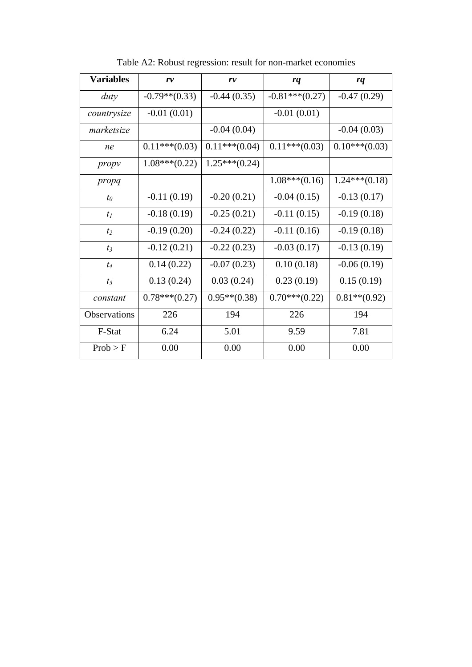| <b>Variables</b> | r v              | r v             | rq               | rq              |
|------------------|------------------|-----------------|------------------|-----------------|
| duty             | $-0.79**$ (0.33) | $-0.44(0.35)$   | $-0.81***(0.27)$ | $-0.47(0.29)$   |
| countrysize      | $-0.01(0.01)$    |                 | $-0.01(0.01)$    |                 |
| marketsize       |                  | $-0.04(0.04)$   |                  | $-0.04(0.03)$   |
| ne               | $0.11***(0.03)$  | $0.11***(0.04)$ | $0.11***(0.03)$  | $0.10***(0.03)$ |
| propy            | $1.08***(0.22)$  | $1.25***(0.24)$ |                  |                 |
| propq            |                  |                 | $1.08***(0.16)$  | $1.24***(0.18)$ |
| $t_0$            | $-0.11(0.19)$    | $-0.20(0.21)$   | $-0.04(0.15)$    | $-0.13(0.17)$   |
| $t_1$            | $-0.18(0.19)$    | $-0.25(0.21)$   | $-0.11(0.15)$    | $-0.19(0.18)$   |
| t <sub>2</sub>   | $-0.19(0.20)$    | $-0.24(0.22)$   | $-0.11(0.16)$    | $-0.19(0.18)$   |
| $t_3$            | $-0.12(0.21)$    | $-0.22(0.23)$   | $-0.03(0.17)$    | $-0.13(0.19)$   |
| $t_4$            | 0.14(0.22)       | $-0.07(0.23)$   | 0.10(0.18)       | $-0.06(0.19)$   |
| t <sub>5</sub>   | 0.13(0.24)       | 0.03(0.24)      | 0.23(0.19)       | 0.15(0.19)      |
| constant         | $0.78***(0.27)$  | $0.95**$ (0.38) | $0.70***(0.22)$  | $0.81**$ (0.92) |
| Observations     | 226              | 194             | 226              | 194             |
| F-Stat           | 6.24             | 5.01            | 9.59             | 7.81            |
| Prob > F         | 0.00             | 0.00            | 0.00             | 0.00            |

Table A2: Robust regression: result for non-market economies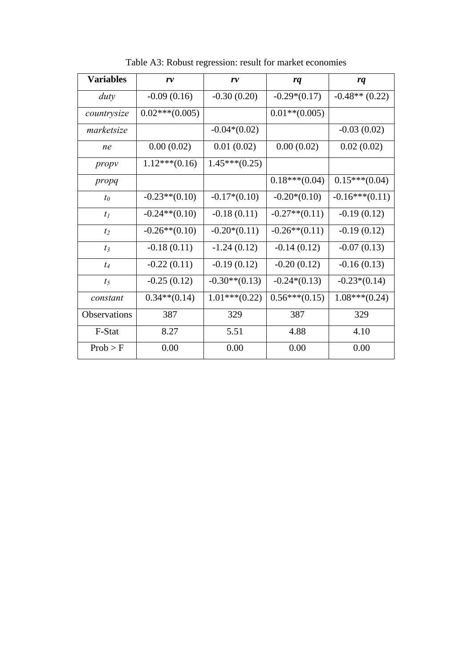| <b>Variables</b> | r v              | r v              | rq               | rq               |
|------------------|------------------|------------------|------------------|------------------|
| duty             | $-0.09(0.16)$    | $-0.30(0.20)$    | $-0.29*(0.17)$   | $-0.48**$ (0.22) |
| countrysize      | $0.02***(0.005)$ |                  | $0.01**$ (0.005) |                  |
| marketsize       |                  | $-0.04*(0.02)$   |                  | $-0.03(0.02)$    |
| ne               | 0.00(0.02)       | 0.01(0.02)       | 0.00(0.02)       | 0.02(0.02)       |
| propy            | $1.12***(0.16)$  | $1.45***(0.25)$  |                  |                  |
| propq            |                  |                  | $0.18***(0.04)$  | $0.15***(0.04)$  |
| $t_0$            | $-0.23**$ (0.10) | $-0.17*(0.10)$   | $-0.20*(0.10)$   | $-0.16***(0.11)$ |
| $t_1$            | $-0.24**$ (0.10) | $-0.18(0.11)$    | $-0.27**$ (0.11) | $-0.19(0.12)$    |
| t <sub>2</sub>   | $-0.26**$ (0.10) | $-0.20*(0.11)$   | $-0.26**$ (0.11) | $-0.19(0.12)$    |
| $t_3$            | $-0.18(0.11)$    | $-1.24(0.12)$    | $-0.14(0.12)$    | $-0.07(0.13)$    |
| $t_4$            | $-0.22(0.11)$    | $-0.19(0.12)$    | $-0.20(0.12)$    | $-0.16(0.13)$    |
| t <sub>5</sub>   | $-0.25(0.12)$    | $-0.30**$ (0.13) | $-0.24*(0.13)$   | $-0.23*(0.14)$   |
| constant         | $0.34**$ (0.14)  | $1.01***(0.22)$  | $0.56***(0.15)$  | $1.08***(0.24)$  |
| Observations     | 387              | 329              | 387              | 329              |
| F-Stat           | 8.27             | 5.51             | 4.88             | 4.10             |
| Prob > F         | 0.00             | 0.00             | 0.00             | 0.00             |

Table A3: Robust regression: result for market economies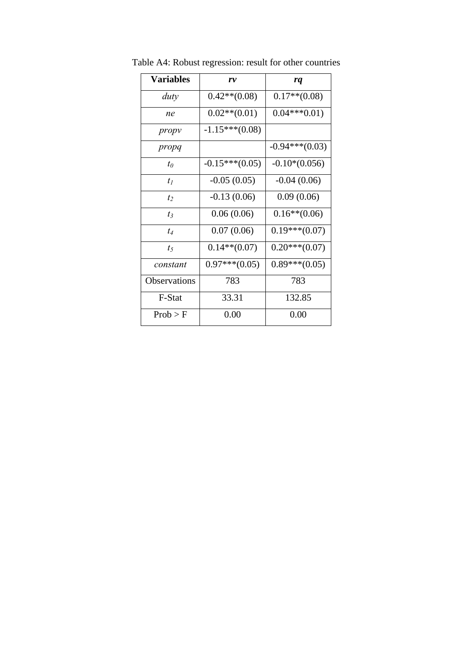| <b>Variables</b>    | r v              | rq               |
|---------------------|------------------|------------------|
| duty                | $0.42**$ (0.08)  | $0.17**$ (0.08)  |
| ne                  | $0.02**$ (0.01)  | $0.04***0.01)$   |
| propy               | $-1.15***(0.08)$ |                  |
| propq               |                  | $-0.94***(0.03)$ |
| $t_0$               | $-0.15***(0.05)$ | $-0.10*(0.056)$  |
| $t_I$               | $-0.05(0.05)$    | $-0.04(0.06)$    |
| $t_2$               | $-0.13(0.06)$    | 0.09(0.06)       |
| $t_3$               | 0.06(0.06)       | $0.16**$ (0.06)  |
| $t_4$               | 0.07(0.06)       | $0.19***(0.07)$  |
| t <sub>5</sub>      | $0.14**$ (0.07)  | $0.20***(0.07)$  |
| constant            | $0.97***(0.05)$  | $0.89***(0.05)$  |
| <b>Observations</b> | 783              | 783              |
| F-Stat              | 33.31            | 132.85           |
| Prob > F            | 0.00             | 0.00             |

Table A4: Robust regression: result for other countries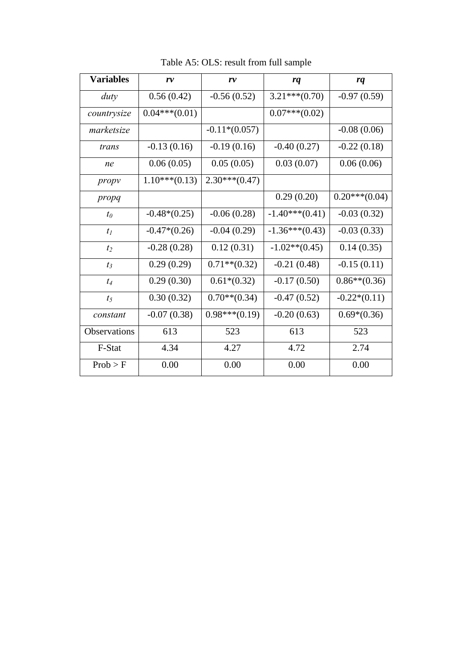| <b>Variables</b>    | r v             | r v             | rq               | rq              |
|---------------------|-----------------|-----------------|------------------|-----------------|
| duty                | 0.56(0.42)      | $-0.56(0.52)$   | $3.21***(0.70)$  | $-0.97(0.59)$   |
| countrysize         | $0.04***(0.01)$ |                 | $0.07***(0.02)$  |                 |
| marketsize          |                 | $-0.11*(0.057)$ |                  | $-0.08(0.06)$   |
| trans               | $-0.13(0.16)$   | $-0.19(0.16)$   | $-0.40(0.27)$    | $-0.22(0.18)$   |
| ne                  | 0.06(0.05)      | 0.05(0.05)      | 0.03(0.07)       | 0.06(0.06)      |
| propy               | $1.10***(0.13)$ | $2.30***(0.47)$ |                  |                 |
| propq               |                 |                 | 0.29(0.20)       | $0.20***(0.04)$ |
| $t_0$               | $-0.48*(0.25)$  | $-0.06(0.28)$   | $-1.40***(0.41)$ | $-0.03(0.32)$   |
| $t_1$               | $-0.47*(0.26)$  | $-0.04(0.29)$   | $-1.36***(0.43)$ | $-0.03(0.33)$   |
| t <sub>2</sub>      | $-0.28(0.28)$   | 0.12(0.31)      | $-1.02**$ (0.45) | 0.14(0.35)      |
| $t_3$               | 0.29(0.29)      | $0.71**$ (0.32) | $-0.21(0.48)$    | $-0.15(0.11)$   |
| $t_4$               | 0.29(0.30)      | $0.61*(0.32)$   | $-0.17(0.50)$    | $0.86**$ (0.36) |
| t <sub>5</sub>      | 0.30(0.32)      | $0.70**$ (0.34) | $-0.47(0.52)$    | $-0.22*(0.11)$  |
| constant            | $-0.07(0.38)$   | $0.98***(0.19)$ | $-0.20(0.63)$    | $0.69*(0.36)$   |
| <b>Observations</b> | 613             | 523             | 613              | 523             |
| F-Stat              | 4.34            | 4.27            | 4.72             | 2.74            |
| Prob > F            | 0.00            | 0.00            | 0.00             | 0.00            |

Table A5: OLS: result from full sample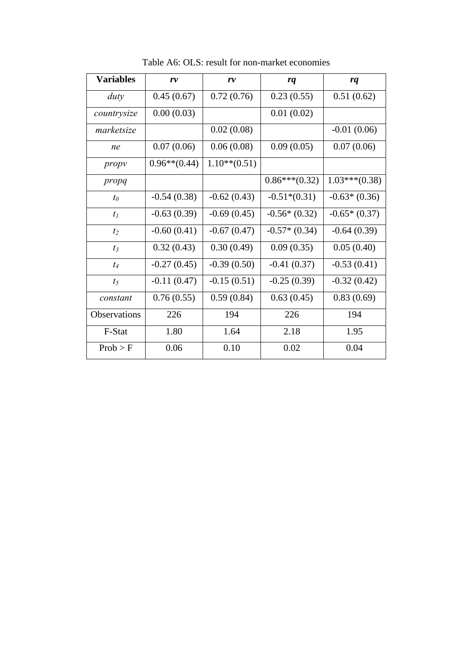| <b>Variables</b> | r v             | r v             | rq              | rq              |
|------------------|-----------------|-----------------|-----------------|-----------------|
| duty             | 0.45(0.67)      | 0.72(0.76)      | 0.23(0.55)      | 0.51(0.62)      |
| countrysize      | 0.00(0.03)      |                 | 0.01(0.02)      |                 |
| marketsize       |                 | 0.02(0.08)      |                 | $-0.01(0.06)$   |
| ne               | 0.07(0.06)      | 0.06(0.08)      | 0.09(0.05)      | 0.07(0.06)      |
| propy            | $0.96**$ (0.44) | $1.10**$ (0.51) |                 |                 |
| propq            |                 |                 | $0.86***(0.32)$ | $1.03***(0.38)$ |
| $t_0$            | $-0.54(0.38)$   | $-0.62(0.43)$   | $-0.51*(0.31)$  | $-0.63*(0.36)$  |
| $t_1$            | $-0.63(0.39)$   | $-0.69(0.45)$   | $-0.56*(0.32)$  | $-0.65*(0.37)$  |
| t <sub>2</sub>   | $-0.60(0.41)$   | $-0.67(0.47)$   | $-0.57*(0.34)$  | $-0.64(0.39)$   |
| $t_3$            | 0.32(0.43)      | 0.30(0.49)      | 0.09(0.35)      | 0.05(0.40)      |
| $t_4$            | $-0.27(0.45)$   | $-0.39(0.50)$   | $-0.41(0.37)$   | $-0.53(0.41)$   |
| t <sub>5</sub>   | $-0.11(0.47)$   | $-0.15(0.51)$   | $-0.25(0.39)$   | $-0.32(0.42)$   |
| constant         | 0.76(0.55)      | 0.59(0.84)      | 0.63(0.45)      | 0.83(0.69)      |
| Observations     | 226             | 194             | 226             | 194             |
| F-Stat           | 1.80            | 1.64            | 2.18            | 1.95            |
| Prob > F         | 0.06            | 0.10            | 0.02            | 0.04            |

Table A6: OLS: result for non-market economies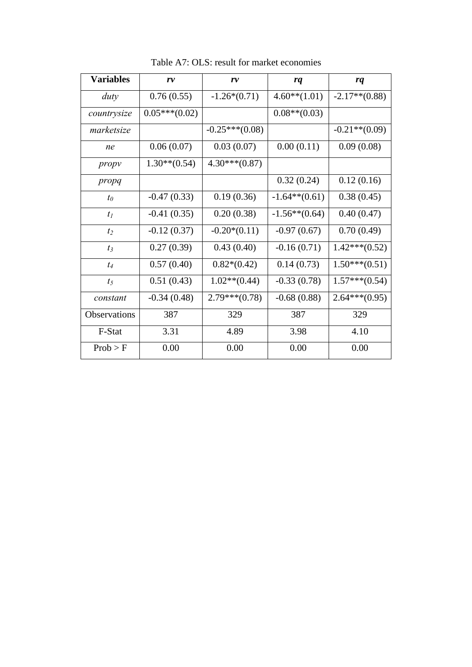| <b>Variables</b> | r v             | rv               | rq               | rq               |
|------------------|-----------------|------------------|------------------|------------------|
| duty             | 0.76(0.55)      | $-1.26*(0.71)$   | $4.60**$ (1.01)  | $-2.17**$ (0.88) |
| countrysize      | $0.05***(0.02)$ |                  | $0.08**$ (0.03)  |                  |
| marketsize       |                 | $-0.25***(0.08)$ |                  | $-0.21**$ (0.09) |
| ne               | 0.06(0.07)      | 0.03(0.07)       | 0.00(0.11)       | 0.09(0.08)       |
| propy            | $1.30**$ (0.54) | $4.30***(0.87)$  |                  |                  |
| propq            |                 |                  | 0.32(0.24)       | 0.12(0.16)       |
| $t_0$            | $-0.47(0.33)$   | 0.19(0.36)       | $-1.64**$ (0.61) | 0.38(0.45)       |
| $t_1$            | $-0.41(0.35)$   | 0.20(0.38)       | $-1.56**$ (0.64) | 0.40(0.47)       |
| t <sub>2</sub>   | $-0.12(0.37)$   | $-0.20*(0.11)$   | $-0.97(0.67)$    | 0.70(0.49)       |
| $t_3$            | 0.27(0.39)      | 0.43(0.40)       | $-0.16(0.71)$    | $1.42***(0.52)$  |
| $t_4$            | 0.57(0.40)      | $0.82*(0.42)$    | 0.14(0.73)       | $1.50***(0.51)$  |
| t <sub>5</sub>   | 0.51(0.43)      | $1.02**$ (0.44)  | $-0.33(0.78)$    | $1.57***(0.54)$  |
| constant         | $-0.34(0.48)$   | $2.79***(0.78)$  | $-0.68(0.88)$    | $2.64***(0.95)$  |
| Observations     | 387             | 329              | 387              | 329              |
| F-Stat           | 3.31            | 4.89             | 3.98             | 4.10             |
| Prob > F         | 0.00            | 0.00             | 0.00             | 0.00             |

Table A7: OLS: result for market economies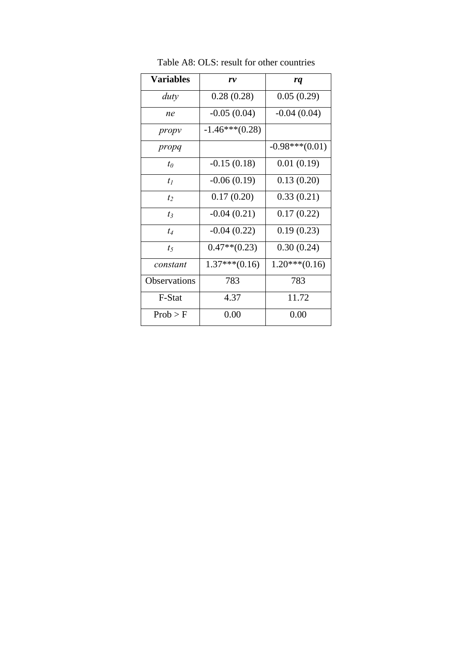| <b>Variables</b> | r v              | rq               |
|------------------|------------------|------------------|
| duty             | 0.28(0.28)       | 0.05(0.29)       |
| ne               | $-0.05(0.04)$    | $-0.04(0.04)$    |
| propy            | $-1.46***(0.28)$ |                  |
| propq            |                  | $-0.98***(0.01)$ |
| $t_0$            | $-0.15(0.18)$    | 0.01(0.19)       |
| $t_I$            | $-0.06(0.19)$    | 0.13(0.20)       |
| $t_2$            | 0.17(0.20)       | 0.33(0.21)       |
| $t_3$            | $-0.04(0.21)$    | 0.17(0.22)       |
| $t_4$            | $-0.04(0.22)$    | 0.19(0.23)       |
| $t_5$            | $0.47**$ (0.23)  | 0.30(0.24)       |
| constant         | $1.37***(0.16)$  | $1.20***(0.16)$  |
| Observations     | 783              | 783              |
| F-Stat           | 4.37             | 11.72            |
| Prob > F         | 0.00             | 0.00             |

Table A8: OLS: result for other countries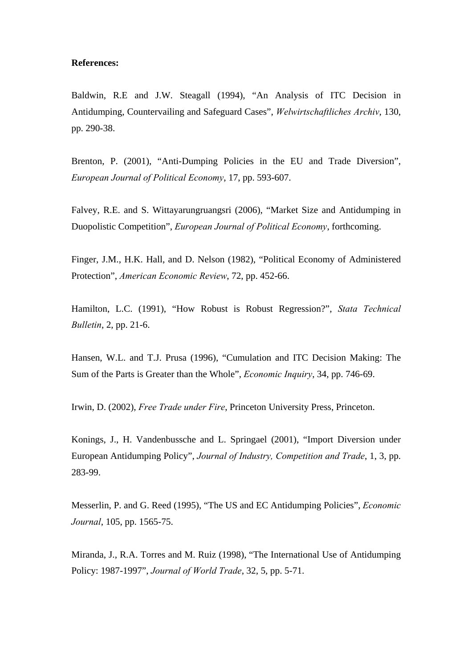## **References:**

Baldwin, R.E and J.W. Steagall (1994), "An Analysis of ITC Decision in Antidumping, Countervailing and Safeguard Cases", *Welwirtschaftliches Archiv*, 130, pp. 290-38.

Brenton, P. (2001), "Anti-Dumping Policies in the EU and Trade Diversion", *European Journal of Political Economy*, 17, pp. 593-607.

Falvey, R.E. and S. Wittayarungruangsri (2006), "Market Size and Antidumping in Duopolistic Competition", *European Journal of Political Economy*, forthcoming.

Finger, J.M., H.K. Hall, and D. Nelson (1982), "Political Economy of Administered Protection", *American Economic Review*, 72, pp. 452-66.

Hamilton, L.C. (1991), "How Robust is Robust Regression?", *Stata Technical Bulletin*, 2, pp. 21-6.

Hansen, W.L. and T.J. Prusa (1996), "Cumulation and ITC Decision Making: The Sum of the Parts is Greater than the Whole", *Economic Inquiry*, 34, pp. 746-69.

Irwin, D. (2002), *Free Trade under Fire*, Princeton University Press, Princeton.

Konings, J., H. Vandenbussche and L. Springael (2001), "Import Diversion under European Antidumping Policy", *Journal of Industry, Competition and Trade*, 1, 3, pp. 283-99.

Messerlin, P. and G. Reed (1995), "The US and EC Antidumping Policies", *Economic Journal*, 105, pp. 1565-75.

Miranda, J., R.A. Torres and M. Ruiz (1998), "The International Use of Antidumping Policy: 1987-1997", *Journal of World Trade*, 32, 5, pp. 5-71.